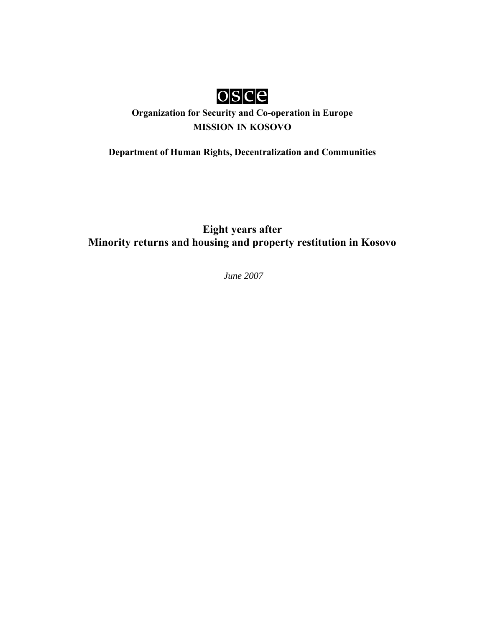

# **Organization for Security and Co-operation in Europe MISSION IN KOSOVO**

**Department of Human Rights, Decentralization and Communities**

**Eight years after Minority returns and housing and property restitution in Kosovo** 

 *June 2007*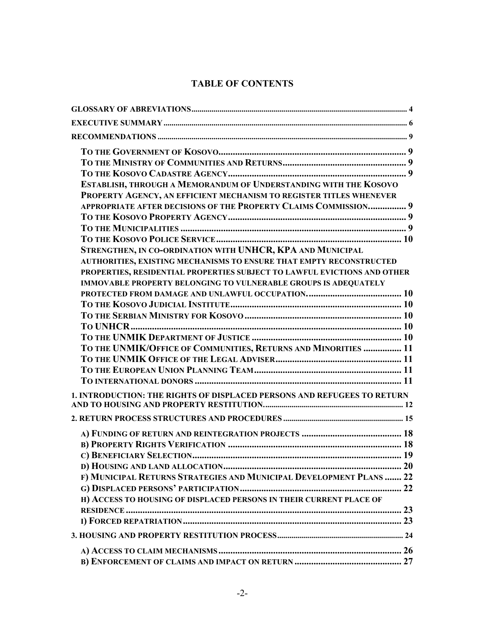# **TABLE OF CONTENTS**

| ESTABLISH, THROUGH A MEMORANDUM OF UNDERSTANDING WITH THE KOSOVO<br>PROPERTY AGENCY, AN EFFICIENT MECHANISM TO REGISTER TITLES WHENEVER<br>APPROPRIATE AFTER DECISIONS OF THE PROPERTY CLAIMS COMMISSION 9<br>STRENGTHEN, IN CO-ORDINATION WITH UNHCR, KPA AND MUNICIPAL<br>AUTHORITIES, EXISTING MECHANISMS TO ENSURE THAT EMPTY RECONSTRUCTED<br>PROPERTIES, RESIDENTIAL PROPERTIES SUBJECT TO LAWFUL EVICTIONS AND OTHER<br><b>IMMOVABLE PROPERTY BELONGING TO VULNERABLE GROUPS IS ADEQUATELY</b><br>TO THE UNMIK/OFFICE OF COMMUNITIES, RETURNS AND MINORITIES  11<br>1. INTRODUCTION: THE RIGHTS OF DISPLACED PERSONS AND REFUGEES TO RETURN<br>F) MUNICIPAL RETURNS STRATEGIES AND MUNICIPAL DEVELOPMENT PLANS  22<br>H) ACCESS TO HOUSING OF DISPLACED PERSONS IN THEIR CURRENT PLACE OF |  |
|--------------------------------------------------------------------------------------------------------------------------------------------------------------------------------------------------------------------------------------------------------------------------------------------------------------------------------------------------------------------------------------------------------------------------------------------------------------------------------------------------------------------------------------------------------------------------------------------------------------------------------------------------------------------------------------------------------------------------------------------------------------------------------------------------|--|
|                                                                                                                                                                                                                                                                                                                                                                                                                                                                                                                                                                                                                                                                                                                                                                                                  |  |
|                                                                                                                                                                                                                                                                                                                                                                                                                                                                                                                                                                                                                                                                                                                                                                                                  |  |
|                                                                                                                                                                                                                                                                                                                                                                                                                                                                                                                                                                                                                                                                                                                                                                                                  |  |
|                                                                                                                                                                                                                                                                                                                                                                                                                                                                                                                                                                                                                                                                                                                                                                                                  |  |
|                                                                                                                                                                                                                                                                                                                                                                                                                                                                                                                                                                                                                                                                                                                                                                                                  |  |
|                                                                                                                                                                                                                                                                                                                                                                                                                                                                                                                                                                                                                                                                                                                                                                                                  |  |
|                                                                                                                                                                                                                                                                                                                                                                                                                                                                                                                                                                                                                                                                                                                                                                                                  |  |
|                                                                                                                                                                                                                                                                                                                                                                                                                                                                                                                                                                                                                                                                                                                                                                                                  |  |
|                                                                                                                                                                                                                                                                                                                                                                                                                                                                                                                                                                                                                                                                                                                                                                                                  |  |
|                                                                                                                                                                                                                                                                                                                                                                                                                                                                                                                                                                                                                                                                                                                                                                                                  |  |
|                                                                                                                                                                                                                                                                                                                                                                                                                                                                                                                                                                                                                                                                                                                                                                                                  |  |
|                                                                                                                                                                                                                                                                                                                                                                                                                                                                                                                                                                                                                                                                                                                                                                                                  |  |
|                                                                                                                                                                                                                                                                                                                                                                                                                                                                                                                                                                                                                                                                                                                                                                                                  |  |
|                                                                                                                                                                                                                                                                                                                                                                                                                                                                                                                                                                                                                                                                                                                                                                                                  |  |
|                                                                                                                                                                                                                                                                                                                                                                                                                                                                                                                                                                                                                                                                                                                                                                                                  |  |
|                                                                                                                                                                                                                                                                                                                                                                                                                                                                                                                                                                                                                                                                                                                                                                                                  |  |
|                                                                                                                                                                                                                                                                                                                                                                                                                                                                                                                                                                                                                                                                                                                                                                                                  |  |
|                                                                                                                                                                                                                                                                                                                                                                                                                                                                                                                                                                                                                                                                                                                                                                                                  |  |
|                                                                                                                                                                                                                                                                                                                                                                                                                                                                                                                                                                                                                                                                                                                                                                                                  |  |
|                                                                                                                                                                                                                                                                                                                                                                                                                                                                                                                                                                                                                                                                                                                                                                                                  |  |
|                                                                                                                                                                                                                                                                                                                                                                                                                                                                                                                                                                                                                                                                                                                                                                                                  |  |
|                                                                                                                                                                                                                                                                                                                                                                                                                                                                                                                                                                                                                                                                                                                                                                                                  |  |
|                                                                                                                                                                                                                                                                                                                                                                                                                                                                                                                                                                                                                                                                                                                                                                                                  |  |
|                                                                                                                                                                                                                                                                                                                                                                                                                                                                                                                                                                                                                                                                                                                                                                                                  |  |
|                                                                                                                                                                                                                                                                                                                                                                                                                                                                                                                                                                                                                                                                                                                                                                                                  |  |
|                                                                                                                                                                                                                                                                                                                                                                                                                                                                                                                                                                                                                                                                                                                                                                                                  |  |
|                                                                                                                                                                                                                                                                                                                                                                                                                                                                                                                                                                                                                                                                                                                                                                                                  |  |
|                                                                                                                                                                                                                                                                                                                                                                                                                                                                                                                                                                                                                                                                                                                                                                                                  |  |
|                                                                                                                                                                                                                                                                                                                                                                                                                                                                                                                                                                                                                                                                                                                                                                                                  |  |
|                                                                                                                                                                                                                                                                                                                                                                                                                                                                                                                                                                                                                                                                                                                                                                                                  |  |
|                                                                                                                                                                                                                                                                                                                                                                                                                                                                                                                                                                                                                                                                                                                                                                                                  |  |
|                                                                                                                                                                                                                                                                                                                                                                                                                                                                                                                                                                                                                                                                                                                                                                                                  |  |
|                                                                                                                                                                                                                                                                                                                                                                                                                                                                                                                                                                                                                                                                                                                                                                                                  |  |
|                                                                                                                                                                                                                                                                                                                                                                                                                                                                                                                                                                                                                                                                                                                                                                                                  |  |
|                                                                                                                                                                                                                                                                                                                                                                                                                                                                                                                                                                                                                                                                                                                                                                                                  |  |
|                                                                                                                                                                                                                                                                                                                                                                                                                                                                                                                                                                                                                                                                                                                                                                                                  |  |
|                                                                                                                                                                                                                                                                                                                                                                                                                                                                                                                                                                                                                                                                                                                                                                                                  |  |
|                                                                                                                                                                                                                                                                                                                                                                                                                                                                                                                                                                                                                                                                                                                                                                                                  |  |
|                                                                                                                                                                                                                                                                                                                                                                                                                                                                                                                                                                                                                                                                                                                                                                                                  |  |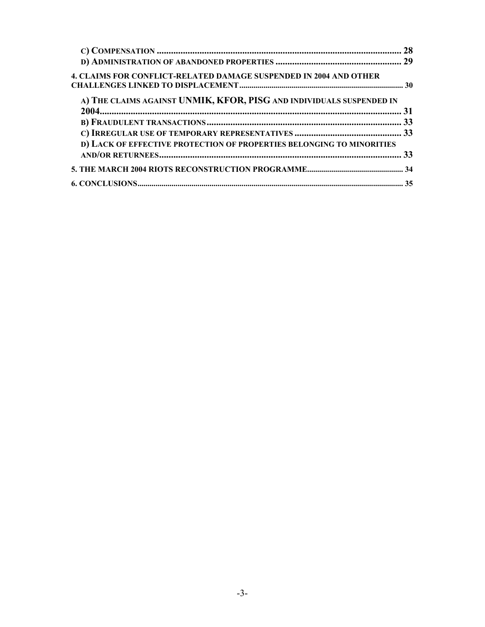| <b>4. CLAIMS FOR CONFLICT-RELATED DAMAGE SUSPENDED IN 2004 AND OTHER</b> |  |
|--------------------------------------------------------------------------|--|
| A) THE CLAIMS AGAINST UNMIK, KFOR, PISG AND INDIVIDUALS SUSPENDED IN     |  |
|                                                                          |  |
|                                                                          |  |
|                                                                          |  |
| D) LACK OF EFFECTIVE PROTECTION OF PROPERTIES BELONGING TO MINORITIES    |  |
|                                                                          |  |
|                                                                          |  |
|                                                                          |  |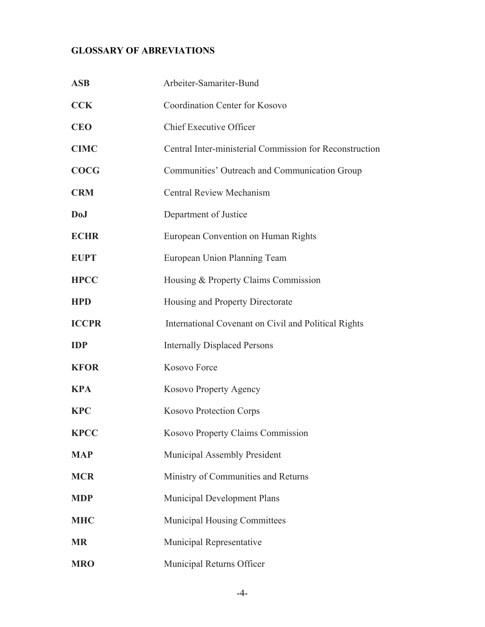# <span id="page-3-0"></span>**GLOSSARY OF ABREVIATIONS**

| <b>ASB</b>   | Arbeiter-Samariter-Bund                                 |
|--------------|---------------------------------------------------------|
| <b>CCK</b>   | Coordination Center for Kosovo                          |
| <b>CEO</b>   | <b>Chief Executive Officer</b>                          |
| <b>CIMC</b>  | Central Inter-ministerial Commission for Reconstruction |
| <b>COCG</b>  | Communities' Outreach and Communication Group           |
| <b>CRM</b>   | <b>Central Review Mechanism</b>                         |
| <b>DoJ</b>   | Department of Justice                                   |
| <b>ECHR</b>  | European Convention on Human Rights                     |
| <b>EUPT</b>  | European Union Planning Team                            |
| <b>HPCC</b>  | Housing & Property Claims Commission                    |
| <b>HPD</b>   | Housing and Property Directorate                        |
| <b>ICCPR</b> | International Covenant on Civil and Political Rights    |
| <b>IDP</b>   | <b>Internally Displaced Persons</b>                     |
| <b>KFOR</b>  | Kosovo Force                                            |
| <b>KPA</b>   | Kosovo Property Agency                                  |
| <b>KPC</b>   | <b>Kosovo Protection Corps</b>                          |
| <b>KPCC</b>  | Kosovo Property Claims Commission                       |
| <b>MAP</b>   | Municipal Assembly President                            |
| <b>MCR</b>   | Ministry of Communities and Returns                     |
| <b>MDP</b>   | Municipal Development Plans                             |
| <b>MHC</b>   | Municipal Housing Committees                            |
| <b>MR</b>    | Municipal Representative                                |
| <b>MRO</b>   | Municipal Returns Officer                               |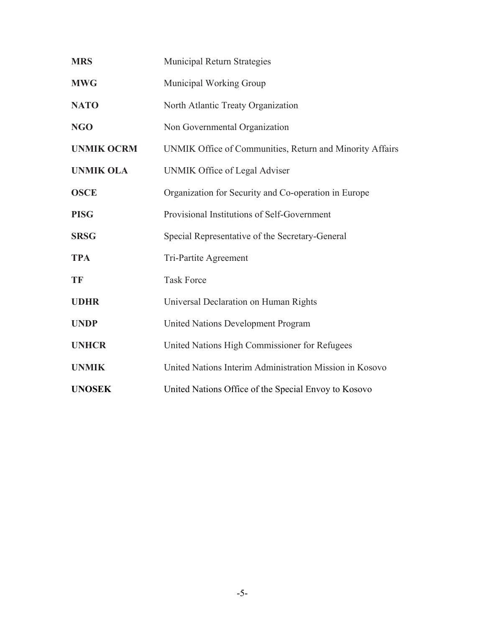| <b>MRS</b>        | Municipal Return Strategies                              |
|-------------------|----------------------------------------------------------|
| <b>MWG</b>        | Municipal Working Group                                  |
| <b>NATO</b>       | North Atlantic Treaty Organization                       |
| <b>NGO</b>        | Non Governmental Organization                            |
| <b>UNMIK OCRM</b> | UNMIK Office of Communities, Return and Minority Affairs |
| <b>UNMIK OLA</b>  | <b>UNMIK Office of Legal Adviser</b>                     |
| <b>OSCE</b>       | Organization for Security and Co-operation in Europe     |
| <b>PISG</b>       | Provisional Institutions of Self-Government              |
| <b>SRSG</b>       | Special Representative of the Secretary-General          |
| <b>TPA</b>        | Tri-Partite Agreement                                    |
| TF                | <b>Task Force</b>                                        |
| <b>UDHR</b>       | Universal Declaration on Human Rights                    |
| <b>UNDP</b>       | <b>United Nations Development Program</b>                |
| <b>UNHCR</b>      | United Nations High Commissioner for Refugees            |
| <b>UNMIK</b>      | United Nations Interim Administration Mission in Kosovo  |
| <b>UNOSEK</b>     | United Nations Office of the Special Envoy to Kosovo     |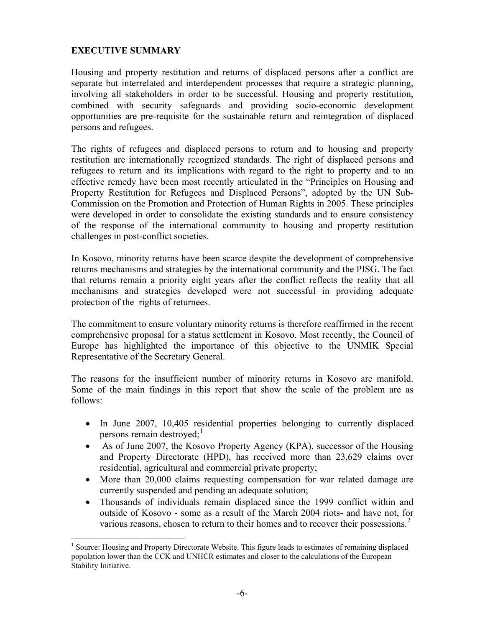### <span id="page-5-0"></span>**EXECUTIVE SUMMARY**

Housing and property restitution and returns of displaced persons after a conflict are separate but interrelated and interdependent processes that require a strategic planning, involving all stakeholders in order to be successful. Housing and property restitution, combined with security safeguards and providing socio-economic development opportunities are pre-requisite for the sustainable return and reintegration of displaced persons and refugees.

The rights of refugees and displaced persons to return and to housing and property restitution are internationally recognized standards. The right of displaced persons and refugees to return and its implications with regard to the right to property and to an effective remedy have been most recently articulated in the "Principles on Housing and Property Restitution for Refugees and Displaced Persons", adopted by the UN Sub-Commission on the Promotion and Protection of Human Rights in 2005. These principles were developed in order to consolidate the existing standards and to ensure consistency of the response of the international community to housing and property restitution challenges in post-conflict societies.

In Kosovo, minority returns have been scarce despite the development of comprehensive returns mechanisms and strategies by the international community and the PISG. The fact that returns remain a priority eight years after the conflict reflects the reality that all mechanisms and strategies developed were not successful in providing adequate protection of the rights of returnees.

The commitment to ensure voluntary minority returns is therefore reaffirmed in the recent comprehensive proposal for a status settlement in Kosovo. Most recently, the Council of Europe has highlighted the importance of this objective to the UNMIK Special Representative of the Secretary General.

The reasons for the insufficient number of minority returns in Kosovo are manifold. Some of the main findings in this report that show the scale of the problem are as follows:

- In June 2007, 10,405 residential properties belonging to currently displaced persons remain destroyed; $\frac{1}{1}$  $\frac{1}{1}$  $\frac{1}{1}$
- As of June 2007, the Kosovo Property Agency (KPA), successor of the Housing and Property Directorate (HPD), has received more than 23,629 claims over residential, agricultural and commercial private property;
- More than 20,000 claims requesting compensation for war related damage are currently suspended and pending an adequate solution;
- Thousands of individuals remain displaced since the 1999 conflict within and outside of Kosovo - some as a result of the March 2004 riots- and have not, for various reasons, chosen to return to their homes and to recover their possessions.<sup>[2](#page-5-2)</sup>

<span id="page-5-2"></span><span id="page-5-1"></span><sup>1</sup> <sup>1</sup> Source: Housing and Property Directorate Website. This figure leads to estimates of remaining displaced population lower than the CCK and UNHCR estimates and closer to the calculations of the European Stability Initiative.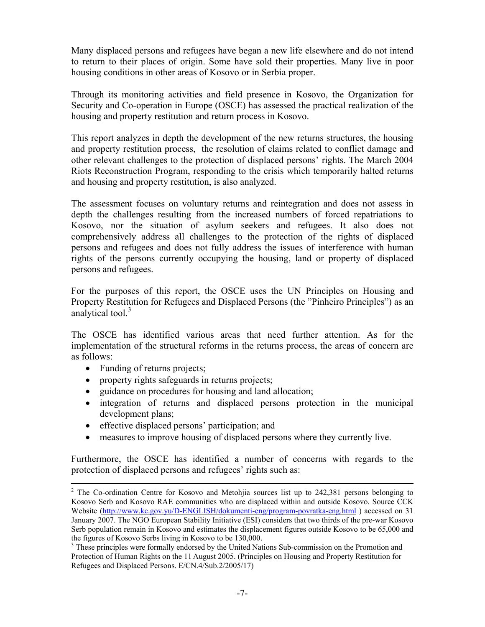Many displaced persons and refugees have began a new life elsewhere and do not intend to return to their places of origin. Some have sold their properties. Many live in poor housing conditions in other areas of Kosovo or in Serbia proper.

Through its monitoring activities and field presence in Kosovo, the Organization for Security and Co-operation in Europe (OSCE) has assessed the practical realization of the housing and property restitution and return process in Kosovo.

This report analyzes in depth the development of the new returns structures, the housing and property restitution process, the resolution of claims related to conflict damage and other relevant challenges to the protection of displaced persons' rights. The March 2004 Riots Reconstruction Program, responding to the crisis which temporarily halted returns and housing and property restitution, is also analyzed.

The assessment focuses on voluntary returns and reintegration and does not assess in depth the challenges resulting from the increased numbers of forced repatriations to Kosovo, nor the situation of asylum seekers and refugees. It also does not comprehensively address all challenges to the protection of the rights of displaced persons and refugees and does not fully address the issues of interference with human rights of the persons currently occupying the housing, land or property of displaced persons and refugees.

For the purposes of this report, the OSCE uses the UN Principles on Housing and Property Restitution for Refugees and Displaced Persons (the "Pinheiro Principles") as an analytical tool.<sup>[3](#page-6-0)</sup>

The OSCE has identified various areas that need further attention. As for the implementation of the structural reforms in the returns process, the areas of concern are as follows:

- Funding of returns projects;
- property rights safeguards in returns projects;
- guidance on procedures for housing and land allocation;
- integration of returns and displaced persons protection in the municipal development plans;
- effective displaced persons' participation; and
- measures to improve housing of displaced persons where they currently live.

Furthermore, the OSCE has identified a number of concerns with regards to the protection of displaced persons and refugees' rights such as:

 $\frac{1}{2}$ <sup>2</sup> The Co-ordination Centre for Kosovo and Metohjia sources list up to 242,381 persons belonging to Kosovo Serb and Kosovo RAE communities who are displaced within and outside Kosovo. Source CCK Website (http://www.kc.gov.yu/D-ENGLISH/dokumenti-eng/program-povratka-eng.html) accessed on 31 January 2007. The NGO European Stability Initiative (ESI) considers that two thirds of the pre-war Kosovo Serb population remain in Kosovo and estimates the displacement figures outside Kosovo to be 65,000 and the figures of Kosovo Serbs living in Kosovo to be 130,000.

<span id="page-6-0"></span><sup>&</sup>lt;sup>3</sup> These principles were formally endorsed by the United Nations Sub-commission on the Promotion and Protection of Human Rights on the 11 August 2005. (Principles on Housing and Property Restitution for Refugees and Displaced Persons. E/CN.4/Sub.2/2005/17)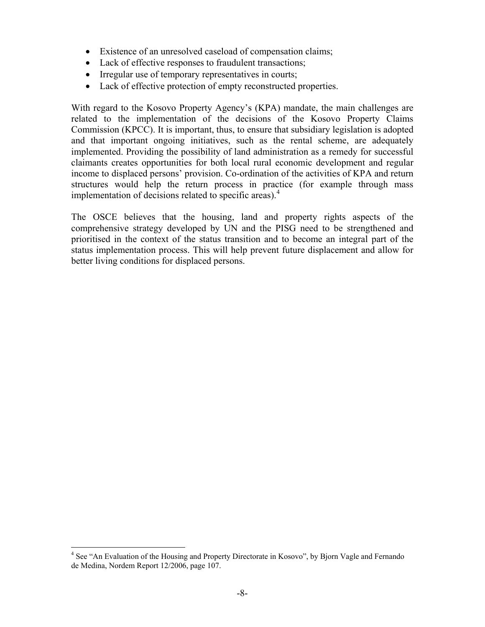- Existence of an unresolved caseload of compensation claims;
- Lack of effective responses to fraudulent transactions;
- Irregular use of temporary representatives in courts;
- Lack of effective protection of empty reconstructed properties.

With regard to the Kosovo Property Agency's (KPA) mandate, the main challenges are related to the implementation of the decisions of the Kosovo Property Claims Commission (KPCC). It is important, thus, to ensure that subsidiary legislation is adopted and that important ongoing initiatives, such as the rental scheme, are adequately implemented. Providing the possibility of land administration as a remedy for successful claimants creates opportunities for both local rural economic development and regular income to displaced persons' provision. Co-ordination of the activities of KPA and return structures would help the return process in practice (for example through mass implementation of decisions related to specific areas).<sup>[4](#page-7-0)</sup>

The OSCE believes that the housing, land and property rights aspects of the comprehensive strategy developed by UN and the PISG need to be strengthened and prioritised in the context of the status transition and to become an integral part of the status implementation process. This will help prevent future displacement and allow for better living conditions for displaced persons.

<span id="page-7-0"></span><sup>&</sup>lt;sup>4</sup> See "An Evaluation of the Housing and Property Directorate in Kosovo", by Bjorn Vagle and Fernando de Medina, Nordem Report 12/2006, page 107.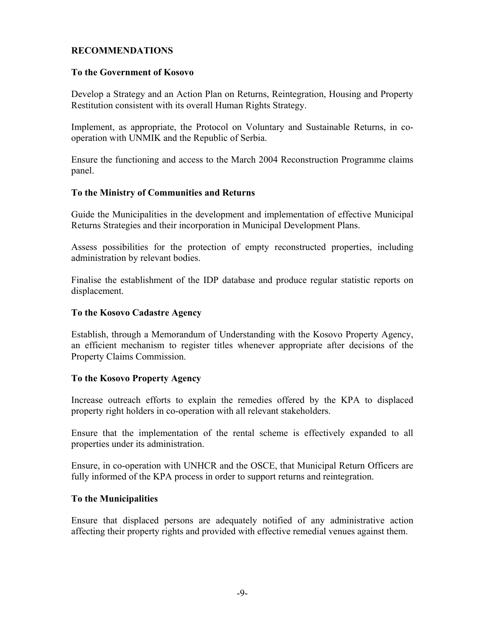### <span id="page-8-0"></span>**RECOMMENDATIONS**

#### **To the Government of Kosovo**

Develop a Strategy and an Action Plan on Returns, Reintegration, Housing and Property Restitution consistent with its overall Human Rights Strategy.

Implement, as appropriate, the Protocol on Voluntary and Sustainable Returns, in cooperation with UNMIK and the Republic of Serbia.

Ensure the functioning and access to the March 2004 Reconstruction Programme claims panel.

### **To the Ministry of Communities and Returns**

Guide the Municipalities in the development and implementation of effective Municipal Returns Strategies and their incorporation in Municipal Development Plans.

Assess possibilities for the protection of empty reconstructed properties, including administration by relevant bodies.

Finalise the establishment of the IDP database and produce regular statistic reports on displacement.

### **To the Kosovo Cadastre Agency**

Establish, through a Memorandum of Understanding with the Kosovo Property Agency, an efficient mechanism to register titles whenever appropriate after decisions of the Property Claims Commission.

#### **To the Kosovo Property Agency**

Increase outreach efforts to explain the remedies offered by the KPA to displaced property right holders in co-operation with all relevant stakeholders.

Ensure that the implementation of the rental scheme is effectively expanded to all properties under its administration.

Ensure, in co-operation with UNHCR and the OSCE, that Municipal Return Officers are fully informed of the KPA process in order to support returns and reintegration.

#### **To the Municipalities**

Ensure that displaced persons are adequately notified of any administrative action affecting their property rights and provided with effective remedial venues against them.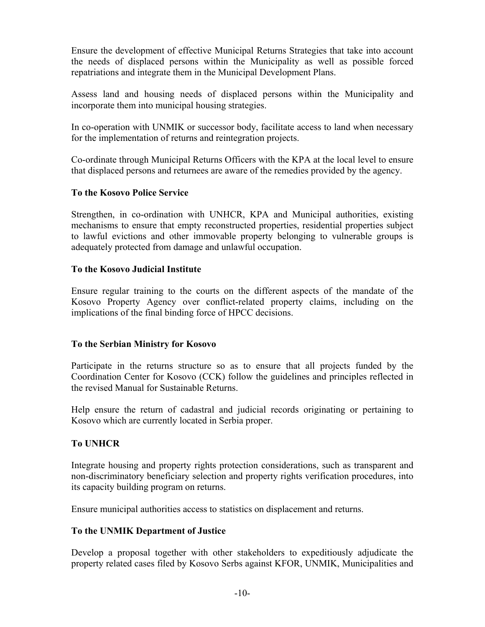<span id="page-9-0"></span>Ensure the development of effective Municipal Returns Strategies that take into account the needs of displaced persons within the Municipality as well as possible forced repatriations and integrate them in the Municipal Development Plans.

Assess land and housing needs of displaced persons within the Municipality and incorporate them into municipal housing strategies.

In co-operation with UNMIK or successor body, facilitate access to land when necessary for the implementation of returns and reintegration projects.

Co-ordinate through Municipal Returns Officers with the KPA at the local level to ensure that displaced persons and returnees are aware of the remedies provided by the agency.

### **To the Kosovo Police Service**

Strengthen, in co-ordination with UNHCR, KPA and Municipal authorities, existing mechanisms to ensure that empty reconstructed properties, residential properties subject to lawful evictions and other immovable property belonging to vulnerable groups is adequately protected from damage and unlawful occupation.

### **To the Kosovo Judicial Institute**

Ensure regular training to the courts on the different aspects of the mandate of the Kosovo Property Agency over conflict-related property claims, including on the implications of the final binding force of HPCC decisions.

### **To the Serbian Ministry for Kosovo**

Participate in the returns structure so as to ensure that all projects funded by the Coordination Center for Kosovo (CCK) follow the guidelines and principles reflected in the revised Manual for Sustainable Returns.

Help ensure the return of cadastral and judicial records originating or pertaining to Kosovo which are currently located in Serbia proper.

### **To UNHCR**

Integrate housing and property rights protection considerations, such as transparent and non-discriminatory beneficiary selection and property rights verification procedures, into its capacity building program on returns.

Ensure municipal authorities access to statistics on displacement and returns.

### **To the UNMIK Department of Justice**

Develop a proposal together with other stakeholders to expeditiously adjudicate the property related cases filed by Kosovo Serbs against KFOR, UNMIK, Municipalities and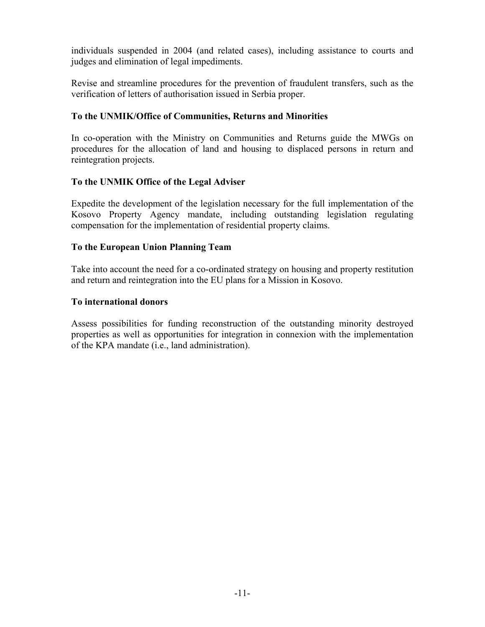<span id="page-10-0"></span>individuals suspended in 2004 (and related cases), including assistance to courts and judges and elimination of legal impediments.

Revise and streamline procedures for the prevention of fraudulent transfers, such as the verification of letters of authorisation issued in Serbia proper.

### **To the UNMIK/Office of Communities, Returns and Minorities**

In co-operation with the Ministry on Communities and Returns guide the MWGs on procedures for the allocation of land and housing to displaced persons in return and reintegration projects.

### **To the UNMIK Office of the Legal Adviser**

Expedite the development of the legislation necessary for the full implementation of the Kosovo Property Agency mandate, including outstanding legislation regulating compensation for the implementation of residential property claims.

### **To the European Union Planning Team**

Take into account the need for a co-ordinated strategy on housing and property restitution and return and reintegration into the EU plans for a Mission in Kosovo.

### **To international donors**

Assess possibilities for funding reconstruction of the outstanding minority destroyed properties as well as opportunities for integration in connexion with the implementation of the KPA mandate (i.e., land administration).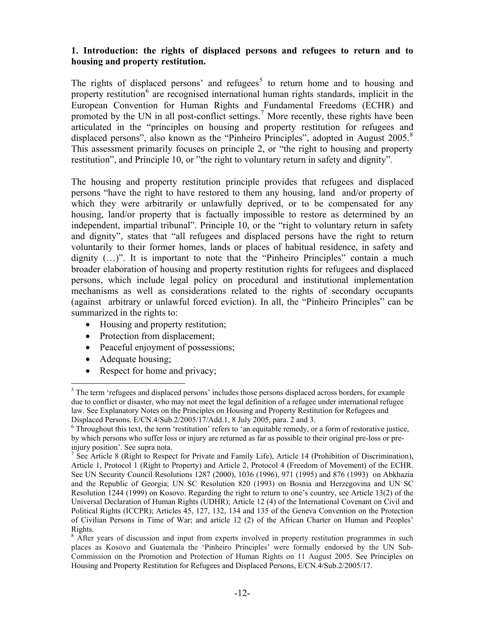### <span id="page-11-0"></span>**1. Introduction: the rights of displaced persons and refugees to return and to housing and property restitution.**

The rights of displaced persons' and refugees<sup>[5](#page-11-1)</sup> to return home and to housing and property restitution<sup>[6](#page-11-2)</sup> are recognised international human rights standards, implicit in the European Convention for Human Rights and Fundamental Freedoms (ECHR) and promoted by the UN in all post-conflict settings.<sup>[7](#page-11-3)</sup> More recently, these rights have been articulated in the "principles on housing and property restitution for refugees and displaced persons", also known as the "Pinheiro Principles", adopted in August 2005.<sup>[8](#page-11-4)</sup> This assessment primarily focuses on principle 2, or "the right to housing and property restitution", and Principle 10, or "the right to voluntary return in safety and dignity".

The housing and property restitution principle provides that refugees and displaced persons "have the right to have restored to them any housing, land and/or property of which they were arbitrarily or unlawfully deprived, or to be compensated for any housing, land/or property that is factually impossible to restore as determined by an independent, impartial tribunal". Principle 10, or the "right to voluntary return in safety and dignity", states that "all refugees and displaced persons have the right to return voluntarily to their former homes, lands or places of habitual residence, in safety and dignity  $(...)$ ". It is important to note that the "Pinheiro Principles" contain a much broader elaboration of housing and property restitution rights for refugees and displaced persons, which include legal policy on procedural and institutional implementation mechanisms as well as considerations related to the rights of secondary occupants (against arbitrary or unlawful forced eviction). In all, the "Pinheiro Principles" can be summarized in the rights to:

- Housing and property restitution;
- Protection from displacement;
- Peaceful enjoyment of possessions;
- Adequate housing;

1

• Respect for home and privacy;

<span id="page-11-1"></span><sup>&</sup>lt;sup>5</sup> The term 'refugees and displaced persons' includes those persons displaced across borders, for example due to conflict or disaster, who may not meet the legal definition of a refugee under international refugee law. See Explanatory Notes on the Principles on Housing and Property Restitution for Refugees and Displaced Persons. E/CN.4/Sub.2/2005/17/Add.1, 8 July 2005, para. 2 and 3.

<span id="page-11-2"></span><sup>&</sup>lt;sup>6</sup> Throughout this text, the term 'restitution' refers to 'an equitable remedy, or a form of restorative justice, by which persons who suffer loss or injury are returned as far as possible to their original pre-loss or preinjury position'. See supra nota.

<span id="page-11-3"></span><sup>&</sup>lt;sup>7</sup> See Article 8 (Right to Respect for Private and Family Life), Article 14 (Prohibition of Discrimination), Article 1, Protocol 1 (Right to Property) and Article 2, Protocol 4 (Freedom of Movement) of the ECHR. See UN Security Council Resolutions 1287 (2000), 1036 (1996), 971 (1995) and 876 (1993) on Abkhazia and the Republic of Georgia; UN SC Resolution 820 (1993) on Bosnia and Herzegovina and UN SC Resolution 1244 (1999) on Kosovo. Regarding the right to return to one's country, see Article 13(2) of the Universal Declaration of Human Rights (UDHR); Article 12 (4) of the International Covenant on Civil and Political Rights (ICCPR); Articles 45, 127, 132, 134 and 135 of the Geneva Convention on the Protection of Civilian Persons in Time of War; and article 12 (2) of the African Charter on Human and Peoples' Rights.

<span id="page-11-4"></span><sup>&</sup>lt;sup>8</sup> After years of discussion and input from experts involved in property restitution programmes in such places as Kosovo and Guatemala the 'Pinheiro Principles' were formally endorsed by the UN Sub-Commission on the Promotion and Protection of Human Rights on 11 August 2005. See Principles on Housing and Property Restitution for Refugees and Displaced Persons, E/CN.4/Sub.2/2005/17.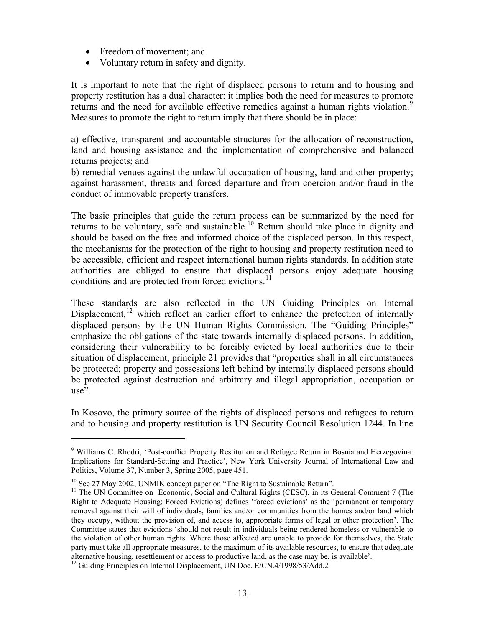- Freedom of movement; and
- Voluntary return in safety and dignity.

It is important to note that the right of displaced persons to return and to housing and property restitution has a dual character: it implies both the need for measures to promote returns and the need for available effective remedies against a human rights violation.<sup>[9](#page-12-0)</sup> Measures to promote the right to return imply that there should be in place:

a) effective, transparent and accountable structures for the allocation of reconstruction, land and housing assistance and the implementation of comprehensive and balanced returns projects; and

b) remedial venues against the unlawful occupation of housing, land and other property; against harassment, threats and forced departure and from coercion and/or fraud in the conduct of immovable property transfers.

The basic principles that guide the return process can be summarized by the need for returns to be voluntary, safe and sustainable.<sup>[10](#page-12-1)</sup> Return should take place in dignity and should be based on the free and informed choice of the displaced person. In this respect, the mechanisms for the protection of the right to housing and property restitution need to be accessible, efficient and respect international human rights standards. In addition state authorities are obliged to ensure that displaced persons enjoy adequate housing conditions and are protected from forced evictions.<sup>[11](#page-12-2)</sup>

These standards are also reflected in the UN Guiding Principles on Internal Displacement,<sup>[12](#page-12-3)</sup> which reflect an earlier effort to enhance the protection of internally displaced persons by the UN Human Rights Commission. The "Guiding Principles" emphasize the obligations of the state towards internally displaced persons. In addition, considering their vulnerability to be forcibly evicted by local authorities due to their situation of displacement, principle 21 provides that "properties shall in all circumstances be protected; property and possessions left behind by internally displaced persons should be protected against destruction and arbitrary and illegal appropriation, occupation or use".

In Kosovo, the primary source of the rights of displaced persons and refugees to return and to housing and property restitution is UN Security Council Resolution 1244. In line

 $\overline{a}$ 

<span id="page-12-0"></span><sup>&</sup>lt;sup>9</sup> Williams C. Rhodri, 'Post-conflict Property Restitution and Refugee Return in Bosnia and Herzegovina: Implications for Standard-Setting and Practice', [New York University Journal of International Law and](http://www.law.nyu.edu/journals/jilp/)  [Politics, Volume 37, Number 3, Spring 2005](http://www.law.nyu.edu/journals/jilp/), page 451.

<span id="page-12-1"></span><sup>&</sup>lt;sup>10</sup> See 27 May 2002, UNMIK concept paper on "The Right to Sustainable Return".

<span id="page-12-2"></span><sup>&</sup>lt;sup>11</sup> The UN Committee on Economic, Social and Cultural Rights (CESC), in its General Comment 7 (The Right to Adequate Housing: Forced Evictions) defines 'forced evictions' as the 'permanent or temporary removal against their will of individuals, families and/or communities from the homes and/or land which they occupy, without the provision of, and access to, appropriate forms of legal or other protection'. The Committee states that evictions 'should not result in individuals being rendered homeless or vulnerable to the violation of other human rights. Where those affected are unable to provide for themselves, the State party must take all appropriate measures, to the maximum of its available resources, to ensure that adequate alternative housing, resettlement or access to productive land, as the case may be, is available'. 12 Guiding Principles on Internal Displacement, UN Doc. E/CN.4/1998/53/Add.2

<span id="page-12-3"></span>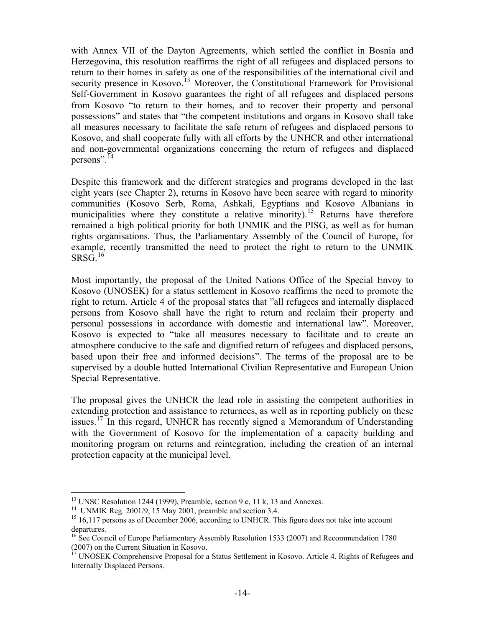with Annex VII of the Dayton Agreements, which settled the conflict in Bosnia and Herzegovina, this resolution reaffirms the right of all refugees and displaced persons to return to their homes in safety as one of the responsibilities of the international civil and security presence in Kosovo.<sup>[13](#page-13-0)</sup> Moreover, the Constitutional Framework for Provisional Self-Government in Kosovo guarantees the right of all refugees and displaced persons from Kosovo "to return to their homes, and to recover their property and personal possessions" and states that "the competent institutions and organs in Kosovo shall take all measures necessary to facilitate the safe return of refugees and displaced persons to Kosovo, and shall cooperate fully with all efforts by the UNHCR and other international and non-governmental organizations concerning the return of refugees and displaced persons".<sup>[14](#page-13-1)</sup>

Despite this framework and the different strategies and programs developed in the last eight years (see Chapter 2), returns in Kosovo have been scarce with regard to minority communities (Kosovo Serb, Roma, Ashkali, Egyptians and Kosovo Albanians in municipalities where they constitute a relative minority).<sup>[15](#page-13-2)</sup> Returns have therefore remained a high political priority for both UNMIK and the PISG, as well as for human rights organisations. Thus, the Parliamentary Assembly of the Council of Europe, for example, recently transmitted the need to protect the right to return to the UNMIK  $SRSG.$ <sup>[16](#page-13-3)</sup>

Most importantly, the proposal of the United Nations Office of the Special Envoy to Kosovo (UNOSEK) for a status settlement in Kosovo reaffirms the need to promote the right to return. Article 4 of the proposal states that "all refugees and internally displaced persons from Kosovo shall have the right to return and reclaim their property and personal possessions in accordance with domestic and international law". Moreover, Kosovo is expected to "take all measures necessary to facilitate and to create an atmosphere conducive to the safe and dignified return of refugees and displaced persons, based upon their free and informed decisions". The terms of the proposal are to be supervised by a double hutted International Civilian Representative and European Union Special Representative.

The proposal gives the UNHCR the lead role in assisting the competent authorities in extending protection and assistance to returnees, as well as in reporting publicly on these issues.<sup>[17](#page-13-4)</sup> In this regard, UNHCR has recently signed a Memorandum of Understanding with the Government of Kosovo for the implementation of a capacity building and monitoring program on returns and reintegration, including the creation of an internal protection capacity at the municipal level.

 $\overline{a}$ 

<sup>&</sup>lt;sup>13</sup> UNSC Resolution 1244 (1999), Preamble, section 9 c, 11 k, 13 and Annexes.

<span id="page-13-1"></span><span id="page-13-0"></span><sup>&</sup>lt;sup>14</sup> UNMIK Reg. 2001/9, 15 May 2001, preamble and section 3.4.

<span id="page-13-2"></span><sup>&</sup>lt;sup>15</sup> 16,117 persons as of December 2006, according to UNHCR. This figure does not take into account departures.

<span id="page-13-3"></span><sup>&</sup>lt;sup>16</sup> See Council of Europe Parliamentary Assembly Resolution 1533 (2007) and Recommendation 1780 (2007) on the Current Situation in Kosovo.

<span id="page-13-4"></span><sup>&</sup>lt;sup>17</sup> UNOSEK Comprehensive Proposal for a Status Settlement in Kosovo. Article 4. Rights of Refugees and Internally Displaced Persons.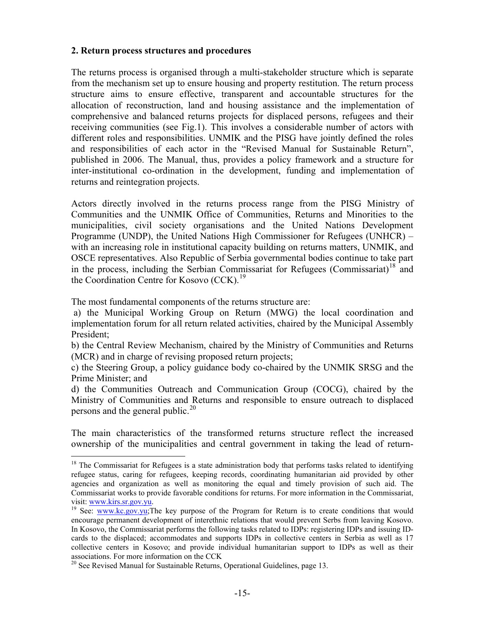#### <span id="page-14-0"></span>**2. Return process structures and procedures**

The returns process is organised through a multi-stakeholder structure which is separate from the mechanism set up to ensure housing and property restitution. The return process structure aims to ensure effective, transparent and accountable structures for the allocation of reconstruction, land and housing assistance and the implementation of comprehensive and balanced returns projects for displaced persons, refugees and their receiving communities (see Fig.1). This involves a considerable number of actors with different roles and responsibilities. UNMIK and the PISG have jointly defined the roles and responsibilities of each actor in the "Revised Manual for Sustainable Return", published in 2006. The Manual, thus, provides a policy framework and a structure for inter-institutional co-ordination in the development, funding and implementation of returns and reintegration projects.

Actors directly involved in the returns process range from the PISG Ministry of Communities and the UNMIK Office of Communities, Returns and Minorities to the municipalities, civil society organisations and the United Nations Development Programme (UNDP), the United Nations High Commissioner for Refugees (UNHCR) – with an increasing role in institutional capacity building on returns matters, UNMIK, and OSCE representatives. Also Republic of Serbia governmental bodies continue to take part in the process, including the Serbian Commissariat for Refugees (Commissariat)<sup>[18](#page-14-1)</sup> and the Coordination Centre for Kosovo  $(CCK)$ .<sup>19</sup>

The most fundamental components of the returns structure are:

 $\overline{a}$ 

 a) the Municipal Working Group on Return (MWG) the local coordination and implementation forum for all return related activities, chaired by the Municipal Assembly President;

b) the Central Review Mechanism, chaired by the Ministry of Communities and Returns (MCR) and in charge of revising proposed return projects;

c) the Steering Group, a policy guidance body co-chaired by the UNMIK SRSG and the Prime Minister; and

d) the Communities Outreach and Communication Group (COCG), chaired by the Ministry of Communities and Returns and responsible to ensure outreach to displaced persons and the general public.<sup>[20](#page-14-3)</sup>

The main characteristics of the transformed returns structure reflect the increased ownership of the municipalities and central government in taking the lead of return-

<span id="page-14-1"></span> $18$  The Commissariat for Refugees is a state administration body that performs tasks related to identifying refugee status, caring for refugees, keeping records, coordinating humanitarian aid provided by other agencies and organization as well as monitoring the equal and timely provision of such aid. The Commissariat works to provide favorable conditions for returns. For more information in the Commissariat, visit:  $\frac{www.kirs.sr.gov.yu}{y}$ .<br><sup>19</sup> See: [www.kc.gov.yu](http://www.kc.gov.yu/);The key purpose of the Program for Return is to create conditions that would

<span id="page-14-2"></span>encourage permanent development of interethnic relations that would prevent Serbs from leaving Kosovo. In Kosovo, the Commissariat performs the following tasks related to IDPs: registering IDPs and issuing IDcards to the displaced; accommodates and supports IDPs in collective centers in Serbia as well as 17 collective centers in Kosovo; and provide individual humanitarian support to IDPs as well as their associations. For more information on the CCK

<span id="page-14-3"></span> $20$  See Revised Manual for Sustainable Returns, Operational Guidelines, page 13.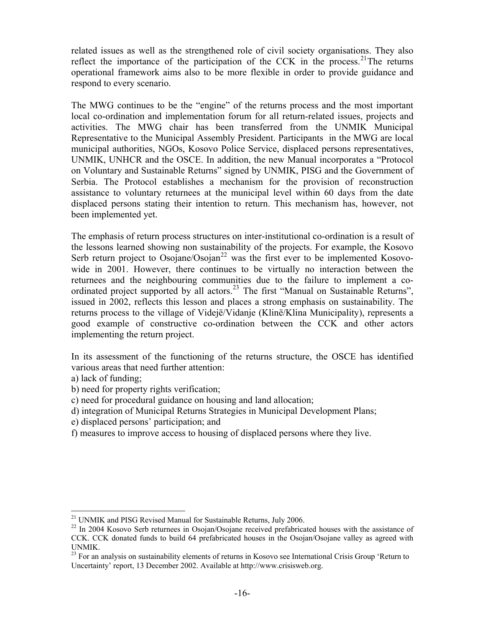related issues as well as the strengthened role of civil society organisations. They also reflect the importance of the participation of the CCK in the process.<sup>[21](#page-15-0)</sup>The returns operational framework aims also to be more flexible in order to provide guidance and respond to every scenario.

The MWG continues to be the "engine" of the returns process and the most important local co-ordination and implementation forum for all return-related issues, projects and activities. The MWG chair has been transferred from the UNMIK Municipal Representative to the Municipal Assembly President. Participants in the MWG are local municipal authorities, NGOs, Kosovo Police Service, displaced persons representatives, UNMIK, UNHCR and the OSCE. In addition, the new Manual incorporates a "Protocol on Voluntary and Sustainable Returns" signed by UNMIK, PISG and the Government of Serbia. The Protocol establishes a mechanism for the provision of reconstruction assistance to voluntary returnees at the municipal level within 60 days from the date displaced persons stating their intention to return. This mechanism has, however, not been implemented yet.

The emphasis of return process structures on inter-institutional co-ordination is a result of the lessons learned showing non sustainability of the projects. For example, the Kosovo Serb return project to Osojane/Osojan<sup>[22](#page-15-1)</sup> was the first ever to be implemented Kosovowide in 2001. However, there continues to be virtually no interaction between the returnees and the neighbouring communities due to the failure to implement a co-ordinated project supported by all actors.<sup>[23](#page-15-2)</sup> The first "Manual on Sustainable Returns", issued in 2002, reflects this lesson and places a strong emphasis on sustainability. The returns process to the village of Videjë/Vidanje (Klinë/Klina Municipality), represents a good example of constructive co-ordination between the CCK and other actors implementing the return project.

In its assessment of the functioning of the returns structure, the OSCE has identified various areas that need further attention:

a) lack of funding;

- b) need for property rights verification;
- c) need for procedural guidance on housing and land allocation;
- d) integration of Municipal Returns Strategies in Municipal Development Plans;
- e) displaced persons' participation; and
- f) measures to improve access to housing of displaced persons where they live.

 $\overline{a}$ <sup>21</sup> UNMIK and PISG Revised Manual for Sustainable Returns, July 2006.

<span id="page-15-1"></span><span id="page-15-0"></span><sup>&</sup>lt;sup>22</sup> In 2004 Kosovo Serb returnees in Osojan/Osojane received prefabricated houses with the assistance of CCK. CCK donated funds to build 64 prefabricated houses in the Osojan/Osojane valley as agreed with UNMIK.

<span id="page-15-2"></span> $^{23}$  For an analysis on sustainability elements of returns in Kosovo see International Crisis Group 'Return to Uncertainty' report, 13 December 2002. Available at http://www.crisisweb.org.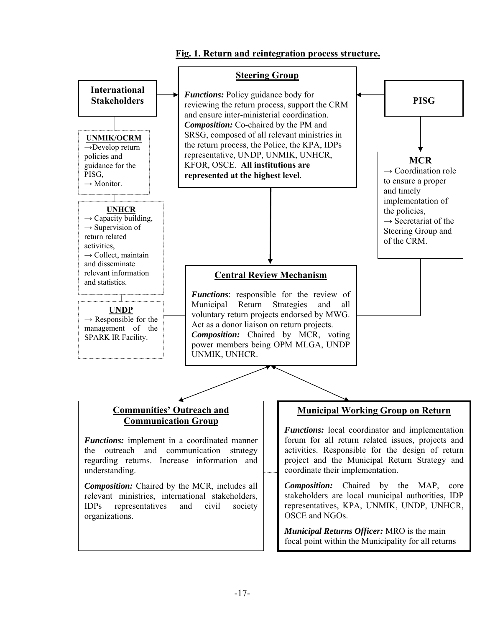# **Fig. 1. Return and reintegration process structure.**

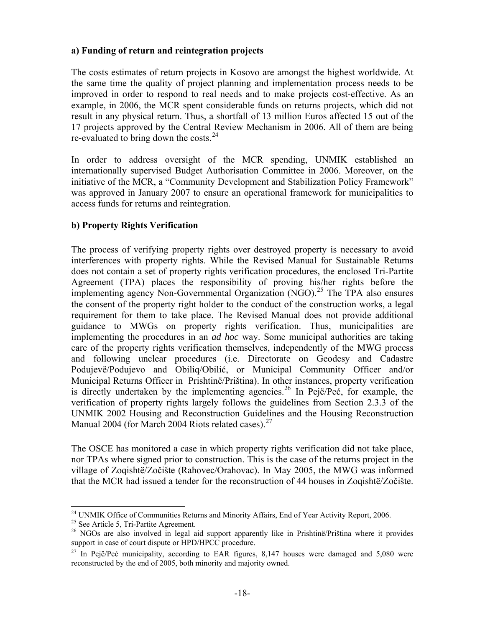### <span id="page-17-0"></span>**a) Funding of return and reintegration projects**

The costs estimates of return projects in Kosovo are amongst the highest worldwide. At the same time the quality of project planning and implementation process needs to be improved in order to respond to real needs and to make projects cost-effective. As an example, in 2006, the MCR spent considerable funds on returns projects, which did not result in any physical return. Thus, a shortfall of 13 million Euros affected 15 out of the 17 projects approved by the Central Review Mechanism in 2006. All of them are being re-evaluated to bring down the costs. $^{24}$  $^{24}$  $^{24}$ 

In order to address oversight of the MCR spending, UNMIK established an internationally supervised Budget Authorisation Committee in 2006. Moreover, on the initiative of the MCR, a "Community Development and Stabilization Policy Framework" was approved in January 2007 to ensure an operational framework for municipalities to access funds for returns and reintegration.

### **b) Property Rights Verification**

The process of verifying property rights over destroyed property is necessary to avoid interferences with property rights. While the Revised Manual for Sustainable Returns does not contain a set of property rights verification procedures, the enclosed Tri-Partite Agreement (TPA) places the responsibility of proving his/her rights before the implementing agency Non-Governmental Organization  $(NGO)$ <sup>[25](#page-17-2)</sup>. The TPA also ensures the consent of the property right holder to the conduct of the construction works, a legal requirement for them to take place. The Revised Manual does not provide additional guidance to MWGs on property rights verification. Thus, municipalities are implementing the procedures in an *ad hoc* way. Some municipal authorities are taking care of the property rights verification themselves, independently of the MWG process and following unclear procedures (i.e. Directorate on Geodesy and Cadastre Podujevë/Podujevo and Obiliq/Obilić, or Municipal Community Officer and/or Municipal Returns Officer in Prishtinë/Priština). In other instances, property verification is directly undertaken by the implementing agencies.<sup>[26](#page-17-3)</sup> In Pejë/Peć, for example, the verification of property rights largely follows the guidelines from Section 2.3.3 of the UNMIK 2002 Housing and Reconstruction Guidelines and the Housing Reconstruction Manual 2004 (for March 2004 Riots related cases). $27$ 

The OSCE has monitored a case in which property rights verification did not take place, nor TPAs where signed prior to construction. This is the case of the returns project in the village of Zoqishtë/Zočište (Rahovec/Orahovac). In May 2005, the MWG was informed that the MCR had issued a tender for the reconstruction of 44 houses in Zoqishtë/Zočište.

 $\overline{a}$ <sup>24</sup> UNMIK Office of Communities Returns and Minority Affairs, End of Year Activity Report, 2006.<br><sup>25</sup> See Article 5, Tri-Partite Agreement.

<span id="page-17-3"></span><span id="page-17-2"></span><span id="page-17-1"></span><sup>&</sup>lt;sup>25</sup> See Article 5, Tri-Partite Agreement.<br><sup>26</sup> NGOs are also involved in legal aid support apparently like in Prishtinë/Priština where it provides support in case of court dispute or HPD/HPCC procedure.

<span id="page-17-4"></span><sup>&</sup>lt;sup>27</sup> In Pejë/Peć municipality, according to EAR figures,  $8,147$  houses were damaged and  $5,080$  were reconstructed by the end of 2005, both minority and majority owned.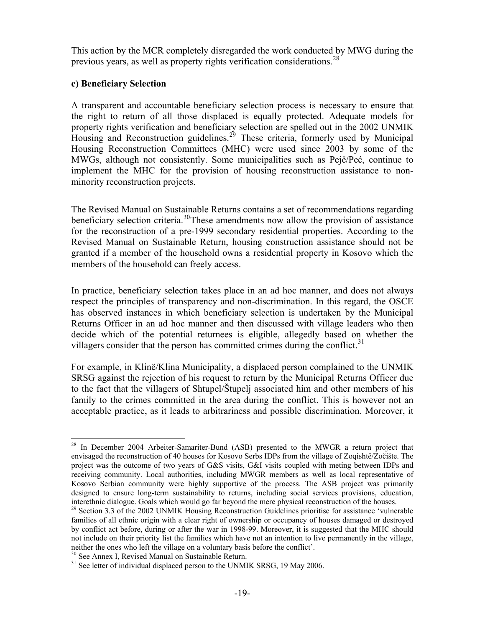<span id="page-18-0"></span>This action by the MCR completely disregarded the work conducted by MWG during the previous years, as well as property rights verification considerations.  $28$ 

### **c) Beneficiary Selection**

A transparent and accountable beneficiary selection process is necessary to ensure that the right to return of all those displaced is equally protected. Adequate models for property rights verification and beneficiary selection are spelled out in the 2002 UNMIK Housing and Reconstruction guidelines.<sup>[29](#page-18-2)</sup> These criteria, formerly used by Municipal Housing Reconstruction Committees (MHC) were used since 2003 by some of the MWGs, although not consistently. Some municipalities such as Pejë/Peć, continue to implement the MHC for the provision of housing reconstruction assistance to nonminority reconstruction projects.

The Revised Manual on Sustainable Returns contains a set of recommendations regarding beneficiary selection criteria.<sup>[30](#page-18-3)</sup>These amendments now allow the provision of assistance for the reconstruction of a pre-1999 secondary residential properties. According to the Revised Manual on Sustainable Return, housing construction assistance should not be granted if a member of the household owns a residential property in Kosovo which the members of the household can freely access.

In practice, beneficiary selection takes place in an ad hoc manner, and does not always respect the principles of transparency and non-discrimination. In this regard, the OSCE has observed instances in which beneficiary selection is undertaken by the Municipal Returns Officer in an ad hoc manner and then discussed with village leaders who then decide which of the potential returnees is eligible, allegedly based on whether the villagers consider that the person has committed crimes during the conflict.<sup>[31](#page-18-4)</sup>

For example, in Klinë/Klina Municipality, a displaced person complained to the UNMIK SRSG against the rejection of his request to return by the Municipal Returns Officer due to the fact that the villagers of Shtupel/Štupelj associated him and other members of his family to the crimes committed in the area during the conflict. This is however not an acceptable practice, as it leads to arbitrariness and possible discrimination. Moreover, it

 $\overline{a}$ 

<span id="page-18-1"></span><sup>&</sup>lt;sup>28</sup> In December 2004 Arbeiter-Samariter-Bund (ASB) presented to the MWGR a return project that envisaged the reconstruction of 40 houses for Kosovo Serbs IDPs from the village of Zoqishtë/Zočište. The project was the outcome of two years of G&S visits, G&I visits coupled with meting between IDPs and receiving community. Local authorities, including MWGR members as well as local representative of Kosovo Serbian community were highly supportive of the process. The ASB project was primarily designed to ensure long-term sustainability to returns, including social services provisions, education, interethnic dialogue. Goals which would go far beyond the mere physical reconstruction of the houses.

<span id="page-18-2"></span><sup>&</sup>lt;sup>29</sup> Section 3.3 of the 2002 UNMIK Housing Reconstruction Guidelines prioritise for assistance 'vulnerable families of all ethnic origin with a clear right of ownership or occupancy of houses damaged or destroyed by conflict act before, during or after the war in 1998-99. Moreover, it is suggested that the MHC should not include on their priority list the families which have not an intention to live permanently in the village, neither the ones who left the village on a voluntary basis before the conflict'.

<span id="page-18-3"></span><sup>&</sup>lt;sup>30</sup> See Annex I, Revised Manual on Sustainable Return.

<span id="page-18-4"></span><sup>&</sup>lt;sup>31</sup> See letter of individual displaced person to the UNMIK SRSG, 19 May 2006.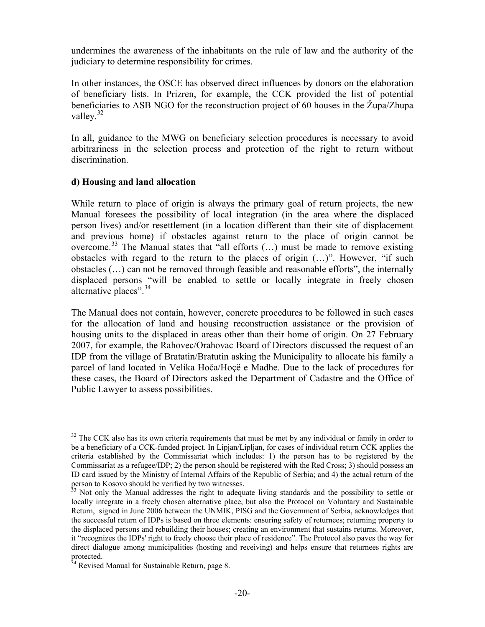<span id="page-19-0"></span>undermines the awareness of the inhabitants on the rule of law and the authority of the judiciary to determine responsibility for crimes.

In other instances, the OSCE has observed direct influences by donors on the elaboration of beneficiary lists. In Prizren, for example, the CCK provided the list of potential beneficiaries to ASB NGO for the reconstruction project of 60 houses in the Župa/Zhupa valley. $32$ 

In all, guidance to the MWG on beneficiary selection procedures is necessary to avoid arbitrariness in the selection process and protection of the right to return without discrimination.

### **d) Housing and land allocation**

While return to place of origin is always the primary goal of return projects, the new Manual foresees the possibility of local integration (in the area where the displaced person lives) and/or resettlement (in a location different than their site of displacement and previous home) if obstacles against return to the place of origin cannot be overcome.[33](#page-19-2) The Manual states that "all efforts (…) must be made to remove existing obstacles with regard to the return to the places of origin (…)". However, "if such obstacles (…) can not be removed through feasible and reasonable efforts", the internally displaced persons "will be enabled to settle or locally integrate in freely chosen alternative places".<sup>34</sup>

The Manual does not contain, however, concrete procedures to be followed in such cases for the allocation of land and housing reconstruction assistance or the provision of housing units to the displaced in areas other than their home of origin. On 27 February 2007, for example, the Rahovec/Orahovac Board of Directors discussed the request of an IDP from the village of Bratatin/Bratutin asking the Municipality to allocate his family a parcel of land located in Velika Hoča/Hoçë e Madhe. Due to the lack of procedures for these cases, the Board of Directors asked the Department of Cadastre and the Office of Public Lawyer to assess possibilities.

 $\overline{a}$ 

<span id="page-19-1"></span> $32$  The CCK also has its own criteria requirements that must be met by any individual or family in order to be a beneficiary of a CCK-funded project. In Lipjan/Lipljan, for cases of individual return CCK applies the criteria established by the Commissariat which includes: 1) the person has to be registered by the Commissariat as a refugee/IDP; 2) the person should be registered with the Red Cross; 3) should possess an ID card issued by the Ministry of Internal Affairs of the Republic of Serbia; and 4) the actual return of the person to Kosovo should be verified by two witnesses.

<span id="page-19-2"></span> $33$  Not only the Manual addresses the right to adequate living standards and the possibility to settle or locally integrate in a freely chosen alternative place, but also the Protocol on Voluntary and Sustainable Return, signed in June 2006 between the UNMIK, PISG and the Government of Serbia, acknowledges that the successful return of IDPs is based on three elements: ensuring safety of returnees; returning property to the displaced persons and rebuilding their houses; creating an environment that sustains returns. Moreover, it "recognizes the IDPs' right to freely choose their place of residence". The Protocol also paves the way for direct dialogue among municipalities (hosting and receiving) and helps ensure that returnees rights are protected.

<span id="page-19-3"></span> $34$  Revised Manual for Sustainable Return, page 8.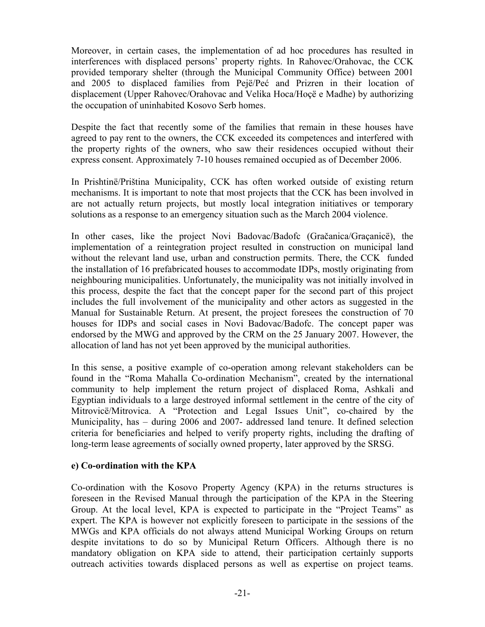Moreover, in certain cases, the implementation of ad hoc procedures has resulted in interferences with displaced persons' property rights. In Rahovec/Orahovac, the CCK provided temporary shelter (through the Municipal Community Office) between 2001 and 2005 to displaced families from Pejë/Peć and Prizren in their location of displacement (Upper Rahovec/Orahovac and Velika Hoca/Hoçë e Madhe) by authorizing the occupation of uninhabited Kosovo Serb homes.

Despite the fact that recently some of the families that remain in these houses have agreed to pay rent to the owners, the CCK exceeded its competences and interfered with the property rights of the owners, who saw their residences occupied without their express consent. Approximately 7-10 houses remained occupied as of December 2006.

In Prishtinë/Priština Municipality, CCK has often worked outside of existing return mechanisms. It is important to note that most projects that the CCK has been involved in are not actually return projects, but mostly local integration initiatives or temporary solutions as a response to an emergency situation such as the March 2004 violence.

In other cases, like the project Novi Badovac/Badofc (Gračanica/Graçanicë), the implementation of a reintegration project resulted in construction on municipal land without the relevant land use, urban and construction permits. There, the CCK funded the installation of 16 prefabricated houses to accommodate IDPs, mostly originating from neighbouring municipalities. Unfortunately, the municipality was not initially involved in this process, despite the fact that the concept paper for the second part of this project includes the full involvement of the municipality and other actors as suggested in the Manual for Sustainable Return. At present, the project foresees the construction of 70 houses for IDPs and social cases in Novi Badovac/Badofc. The concept paper was endorsed by the MWG and approved by the CRM on the 25 January 2007. However, the allocation of land has not yet been approved by the municipal authorities.

In this sense, a positive example of co-operation among relevant stakeholders can be found in the "Roma Mahalla Co-ordination Mechanism", created by the international community to help implement the return project of displaced Roma, Ashkali and Egyptian individuals to a large destroyed informal settlement in the centre of the city of Mitrovicë/Mitrovica. A "Protection and Legal Issues Unit", co-chaired by the Municipality, has – during 2006 and 2007- addressed land tenure. It defined selection criteria for beneficiaries and helped to verify property rights, including the drafting of long-term lease agreements of socially owned property, later approved by the SRSG.

### **e) Co-ordination with the KPA**

Co-ordination with the Kosovo Property Agency (KPA) in the returns structures is foreseen in the Revised Manual through the participation of the KPA in the Steering Group. At the local level, KPA is expected to participate in the "Project Teams" as expert. The KPA is however not explicitly foreseen to participate in the sessions of the MWGs and KPA officials do not always attend Municipal Working Groups on return despite invitations to do so by Municipal Return Officers. Although there is no mandatory obligation on KPA side to attend, their participation certainly supports outreach activities towards displaced persons as well as expertise on project teams.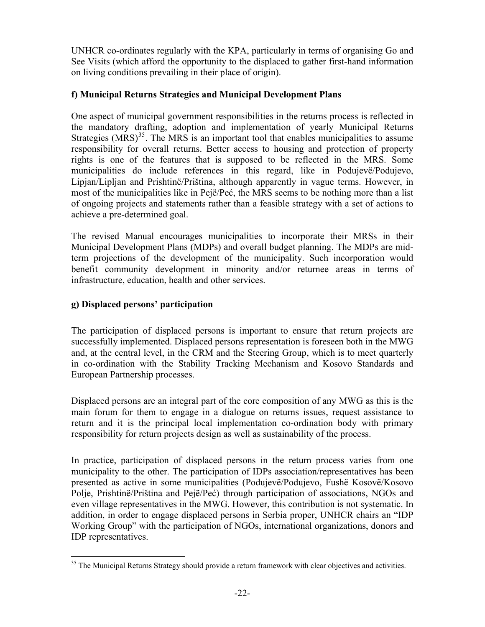<span id="page-21-0"></span>UNHCR co-ordinates regularly with the KPA, particularly in terms of organising Go and See Visits (which afford the opportunity to the displaced to gather first-hand information on living conditions prevailing in their place of origin).

# **f) Municipal Returns Strategies and Municipal Development Plans**

One aspect of municipal government responsibilities in the returns process is reflected in the mandatory drafting, adoption and implementation of yearly Municipal Returns Strategies  $(MRS)^{35}$  $(MRS)^{35}$  $(MRS)^{35}$ . The MRS is an important tool that enables municipalities to assume responsibility for overall returns. Better access to housing and protection of property rights is one of the features that is supposed to be reflected in the MRS. Some municipalities do include references in this regard, like in Podujevë/Podujevo, Lipjan/Lipljan and Prishtinë/Priština, although apparently in vague terms. However, in most of the municipalities like in Pejë/Peć, the MRS seems to be nothing more than a list of ongoing projects and statements rather than a feasible strategy with a set of actions to achieve a pre-determined goal.

The revised Manual encourages municipalities to incorporate their MRSs in their Municipal Development Plans (MDPs) and overall budget planning. The MDPs are midterm projections of the development of the municipality. Such incorporation would benefit community development in minority and/or returnee areas in terms of infrastructure, education, health and other services.

## **g) Displaced persons' participation**

 $\overline{a}$ 

The participation of displaced persons is important to ensure that return projects are successfully implemented. Displaced persons representation is foreseen both in the MWG and, at the central level, in the CRM and the Steering Group, which is to meet quarterly in co-ordination with the Stability Tracking Mechanism and Kosovo Standards and European Partnership processes.

Displaced persons are an integral part of the core composition of any MWG as this is the main forum for them to engage in a dialogue on returns issues, request assistance to return and it is the principal local implementation co-ordination body with primary responsibility for return projects design as well as sustainability of the process.

In practice, participation of displaced persons in the return process varies from one municipality to the other. The participation of IDPs association/representatives has been presented as active in some municipalities (Podujevë/Podujevo, Fushë Kosovë/Kosovo Polje, Prishtinë/Priština and Pejë/Peć) through participation of associations, NGOs and even village representatives in the MWG. However, this contribution is not systematic. In addition, in order to engage displaced persons in Serbia proper, UNHCR chairs an "IDP Working Group" with the participation of NGOs, international organizations, donors and IDP representatives.

<span id="page-21-1"></span> $35$  The Municipal Returns Strategy should provide a return framework with clear objectives and activities.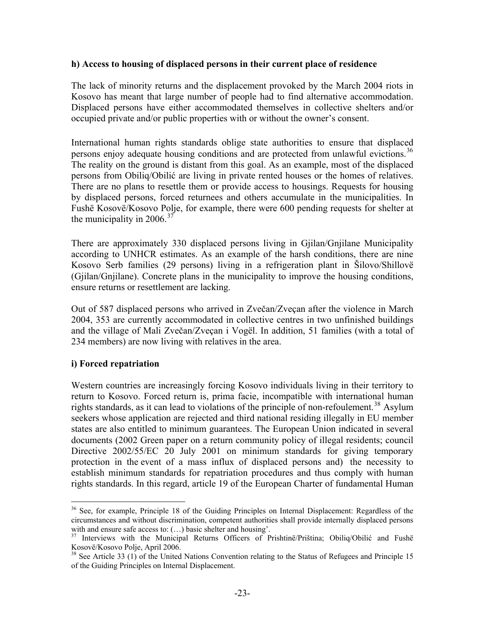#### <span id="page-22-0"></span>**h) Access to housing of displaced persons in their current place of residence**

The lack of minority returns and the displacement provoked by the March 2004 riots in Kosovo has meant that large number of people had to find alternative accommodation. Displaced persons have either accommodated themselves in collective shelters and/or occupied private and/or public properties with or without the owner's consent.

International human rights standards oblige state authorities to ensure that displaced persons enjoy adequate housing conditions and are protected from unlawful evictions.<sup>[36](#page-22-1)</sup> The reality on the ground is distant from this goal. As an example, most of the displaced persons from Obiliq/Obilić are living in private rented houses or the homes of relatives. There are no plans to resettle them or provide access to housings. Requests for housing by displaced persons, forced returnees and others accumulate in the municipalities. In Fushë Kosovë/Kosovo Polje, for example, there were 600 pending requests for shelter at the municipality in 2006.<sup>[37](#page-22-2)</sup>

There are approximately 330 displaced persons living in Gjilan/Gnjilane Municipality according to UNHCR estimates. As an example of the harsh conditions, there are nine Kosovo Serb families (29 persons) living in a refrigeration plant in Šilovo/Shillovë (Gjilan/Gnjilane). Concrete plans in the municipality to improve the housing conditions, ensure returns or resettlement are lacking.

Out of 587 displaced persons who arrived in Zvečan/Zveçan after the violence in March 2004, 353 are currently accommodated in collective centres in two unfinished buildings and the village of Mali Zvečan/Zveçan i Vogël. In addition, 51 families (with a total of 234 members) are now living with relatives in the area.

#### **i) Forced repatriation**

 $\overline{a}$ 

Western countries are increasingly forcing Kosovo individuals living in their territory to return to Kosovo. Forced return is, prima facie, incompatible with international human rights standards, as it can lead to violations of the principle of non-refoulement.<sup>[38](#page-22-3)</sup> Asylum seekers whose application are rejected and third national residing illegally in EU member states are also entitled to minimum guarantees. The European Union indicated in several documents (2002 Green paper on a return community policy of illegal residents; council Directive 2002/55/EC 20 July 2001 on minimum standards for giving temporary protection in the event of a mass influx of displaced persons and) the necessity to establish minimum standards for repatriation procedures and thus comply with human rights standards. In this regard, article 19 of the European Charter of fundamental Human

<span id="page-22-1"></span><sup>&</sup>lt;sup>36</sup> See, for example, Principle 18 of the Guiding Principles on Internal Displacement: Regardless of the circumstances and without discrimination, competent authorities shall provide internally displaced persons with and ensure safe access to: (...) basic shelter and housing'.<br><sup>37</sup> Interviews with the Municipal Returns Officers of Prishtinë/Priština; Obiliq/Obilić and Fushë

<span id="page-22-2"></span>Kosovë/Kosovo Polje, April 2006.

<span id="page-22-3"></span> $38$  See Article 33 (1) of the United Nations Convention relating to the Status of Refugees and Principle 15 of the Guiding Principles on Internal Displacement.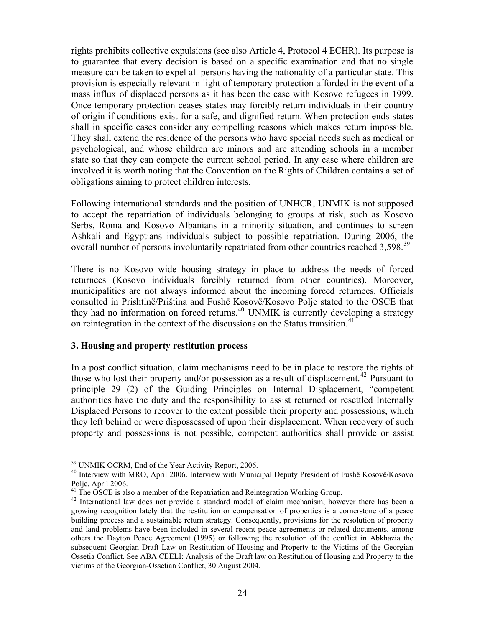<span id="page-23-0"></span>rights prohibits collective expulsions (see also Article 4, Protocol 4 ECHR). Its purpose is to guarantee that every decision is based on a specific examination and that no single measure can be taken to expel all persons having the nationality of a particular state. This provision is especially relevant in light of temporary protection afforded in the event of a mass influx of displaced persons as it has been the case with Kosovo refugees in 1999. Once temporary protection ceases states may forcibly return individuals in their country of origin if conditions exist for a safe, and dignified return. When protection ends states shall in specific cases consider any compelling reasons which makes return impossible. They shall extend the residence of the persons who have special needs such as medical or psychological, and whose children are minors and are attending schools in a member state so that they can compete the current school period. In any case where children are involved it is worth noting that the Convention on the Rights of Children contains a set of obligations aiming to protect children interests.

Following international standards and the position of UNHCR, UNMIK is not supposed to accept the repatriation of individuals belonging to groups at risk, such as Kosovo Serbs, Roma and Kosovo Albanians in a minority situation, and continues to screen Ashkali and Egyptians individuals subject to possible repatriation. During 2006, the overall number of persons involuntarily repatriated from other countries reached 3,598.<sup>[39](#page-23-1)</sup>

There is no Kosovo wide housing strategy in place to address the needs of forced returnees (Kosovo individuals forcibly returned from other countries). Moreover, municipalities are not always informed about the incoming forced returnees. Officials consulted in Prishtinë/Priština and Fushë Kosovë/Kosovo Polje stated to the OSCE that they had no information on forced returns.<sup>[40](#page-23-2)</sup> UNMIK is currently developing a strategy on reintegration in the context of the discussions on the Status transition.<sup>[41](#page-23-3)</sup>

### **3. Housing and property restitution process**

In a post conflict situation, claim mechanisms need to be in place to restore the rights of those who lost their property and/or possession as a result of displacement.<sup>[42](#page-23-4)</sup> Pursuant to principle 29 (2) of the Guiding Principles on Internal Displacement, "competent authorities have the duty and the responsibility to assist returned or resettled Internally Displaced Persons to recover to the extent possible their property and possessions, which they left behind or were dispossessed of upon their displacement. When recovery of such property and possessions is not possible, competent authorities shall provide or assist

<span id="page-23-1"></span> $\overline{a}$ 39 UNMIK OCRM, End of the Year Activity Report, 2006.

<span id="page-23-2"></span><sup>&</sup>lt;sup>40</sup> Interview with MRO, April 2006. Interview with Municipal Deputy President of Fushë Kosovë/Kosovo Polje, April 2006.

<span id="page-23-3"></span> $41$ <sup>41</sup> The OSCE is also a member of the Repatriation and Reintegration Working Group.

<span id="page-23-4"></span><sup>&</sup>lt;sup>42</sup> International law does not provide a standard model of claim mechanism; however there has been a growing recognition lately that the restitution or compensation of properties is a cornerstone of a peace building process and a sustainable return strategy. Consequently, provisions for the resolution of property and land problems have been included in several recent peace agreements or related documents, among others the Dayton Peace Agreement (1995) or following the resolution of the conflict in Abkhazia the subsequent Georgian Draft Law on Restitution of Housing and Property to the Victims of the Georgian Ossetia Conflict. See ABA CEELI: Analysis of the Draft law on Restitution of Housing and Property to the victims of the Georgian-Ossetian Conflict, 30 August 2004.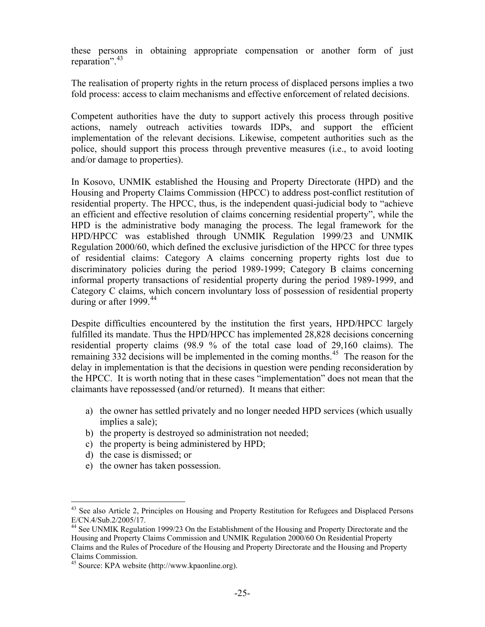these persons in obtaining appropriate compensation or another form of just reparation". $43$ 

The realisation of property rights in the return process of displaced persons implies a two fold process: access to claim mechanisms and effective enforcement of related decisions.

Competent authorities have the duty to support actively this process through positive actions, namely outreach activities towards IDPs, and support the efficient implementation of the relevant decisions. Likewise, competent authorities such as the police, should support this process through preventive measures (i.e., to avoid looting and/or damage to properties).

In Kosovo, UNMIK established the Housing and Property Directorate (HPD) and the Housing and Property Claims Commission (HPCC) to address post-conflict restitution of residential property. The HPCC, thus, is the independent quasi-judicial body to "achieve an efficient and effective resolution of claims concerning residential property", while the HPD is the administrative body managing the process. The legal framework for the HPD/HPCC was established through UNMIK Regulation 1999/23 and UNMIK Regulation 2000/60, which defined the exclusive jurisdiction of the HPCC for three types of residential claims: Category A claims concerning property rights lost due to discriminatory policies during the period 1989-1999; Category B claims concerning informal property transactions of residential property during the period 1989-1999, and Category C claims, which concern involuntary loss of possession of residential property during or after 1999. $44$ 

Despite difficulties encountered by the institution the first years, HPD/HPCC largely fulfilled its mandate. Thus the HPD/HPCC has implemented 28,828 decisions concerning residential property claims (98.9 % of the total case load of 29,160 claims). The remaining  $332$  decisions will be implemented in the coming months.<sup>[45](#page-24-2)</sup> The reason for the delay in implementation is that the decisions in question were pending reconsideration by the HPCC. It is worth noting that in these cases "implementation" does not mean that the claimants have repossessed (and/or returned). It means that either:

- a) the owner has settled privately and no longer needed HPD services (which usually implies a sale);
- b) the property is destroyed so administration not needed;
- c) the property is being administered by HPD;
- d) the case is dismissed; or

 $\overline{a}$ 

e) the owner has taken possession.

<span id="page-24-0"></span><sup>&</sup>lt;sup>43</sup> See also Article 2, Principles on Housing and Property Restitution for Refugees and Displaced Persons E/CN.4/Sub.2/2005/17.

<span id="page-24-1"></span><sup>&</sup>lt;sup>44</sup> See UNMIK Regulation 1999/23 On the Establishment of the Housing and Property Directorate and the Housing and Property Claims Commission and UNMIK Regulation 2000/60 On Residential Property Claims and the Rules of Procedure of the Housing and Property Directorate and the Housing and Property Claims Commission.

<span id="page-24-2"></span><sup>45</sup> Source: KPA website (http://www.kpaonline.org).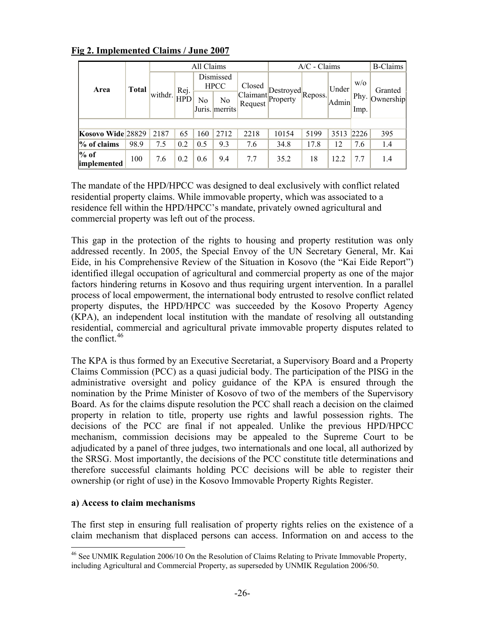|                              | <b>Total</b> | All Claims |                    |     |                          | $A/C$ - Claims                |                                      |      |                             | <b>B-Claims</b> |           |
|------------------------------|--------------|------------|--------------------|-----|--------------------------|-------------------------------|--------------------------------------|------|-----------------------------|-----------------|-----------|
| Area                         |              | withdr.    | Rej.<br><b>HPD</b> |     | Dismissed<br><b>HPCC</b> | Closed<br>Claimant<br>Request | $\Box$ Destroyed Reposs.<br>Property |      | Under <sup>1</sup><br>Admin | W/O             | Granted   |
|                              |              |            |                    | No  | No<br>Juris. merrits     |                               |                                      |      |                             | Phy.<br>Imp.    | Ownership |
|                              |              |            |                    |     |                          |                               |                                      |      |                             |                 |           |
| Kosovo Wide 28829            |              | 2187       | 65                 | 160 | 2712                     | 2218                          | 10154                                | 5199 | 3513                        | 2226            | 395       |
| % of claims                  | 98.9         | 7.5        | 0.2                | 0.5 | 9.3                      | 7.6                           | 34.8                                 | 17.8 | 12                          | 7.6             | 1.4       |
| $%$ of<br><i>implemented</i> | 100          | 7.6        | 0.2                | 0.6 | 9.4                      | 7.7                           | 35.2                                 | 18   | 12.2                        | 7.7             | 1.4       |

### <span id="page-25-0"></span>**Fig 2. Implemented Claims / June 2007**

The mandate of the HPD/HPCC was designed to deal exclusively with conflict related residential property claims. While immovable property, which was associated to a residence fell within the HPD/HPCC's mandate, privately owned agricultural and commercial property was left out of the process.

This gap in the protection of the rights to housing and property restitution was only addressed recently. In 2005, the Special Envoy of the UN Secretary General, Mr. Kai Eide, in his Comprehensive Review of the Situation in Kosovo (the "Kai Eide Report") identified illegal occupation of agricultural and commercial property as one of the major factors hindering returns in Kosovo and thus requiring urgent intervention. In a parallel process of local empowerment, the international body entrusted to resolve conflict related property disputes, the HPD/HPCC was succeeded by the Kosovo Property Agency (KPA), an independent local institution with the mandate of resolving all outstanding residential, commercial and agricultural private immovable property disputes related to the conflict.  $46$ 

The KPA is thus formed by an Executive Secretariat, a Supervisory Board and a Property Claims Commission (PCC) as a quasi judicial body. The participation of the PISG in the administrative oversight and policy guidance of the KPA is ensured through the nomination by the Prime Minister of Kosovo of two of the members of the Supervisory Board. As for the claims dispute resolution the PCC shall reach a decision on the claimed property in relation to title, property use rights and lawful possession rights. The decisions of the PCC are final if not appealed. Unlike the previous HPD/HPCC mechanism, commission decisions may be appealed to the Supreme Court to be adjudicated by a panel of three judges, two internationals and one local, all authorized by the SRSG. Most importantly, the decisions of the PCC constitute title determinations and therefore successful claimants holding PCC decisions will be able to register their ownership (or right of use) in the Kosovo Immovable Property Rights Register.

### **a) Access to claim mechanisms**

 $\overline{a}$ 

The first step in ensuring full realisation of property rights relies on the existence of a claim mechanism that displaced persons can access. Information on and access to the

<span id="page-25-1"></span><sup>&</sup>lt;sup>46</sup> See UNMIK Regulation 2006/10 On the Resolution of Claims Relating to Private Immovable Property, including Agricultural and Commercial Property, as superseded by UNMIK Regulation 2006/50.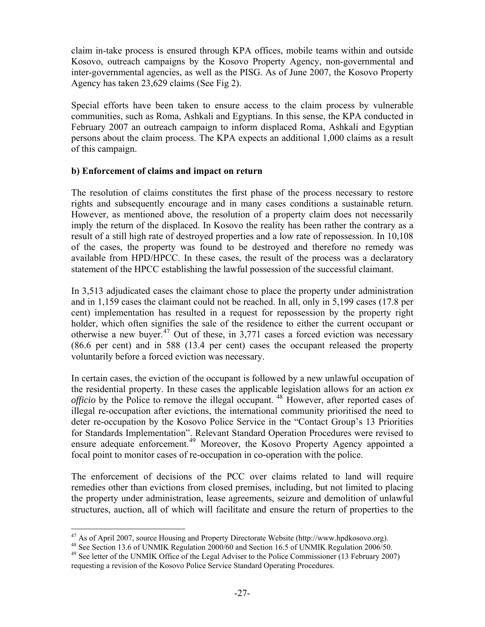<span id="page-26-0"></span>claim in-take process is ensured through KPA offices, mobile teams within and outside Kosovo, outreach campaigns by the Kosovo Property Agency, non-governmental and inter-governmental agencies, as well as the PISG. As of June 2007, the Kosovo Property Agency has taken 23,629 claims (See Fig 2).

Special efforts have been taken to ensure access to the claim process by vulnerable communities, such as Roma, Ashkali and Egyptians. In this sense, the KPA conducted in February 2007 an outreach campaign to inform displaced Roma, Ashkali and Egyptian persons about the claim process. The KPA expects an additional 1,000 claims as a result of this campaign.

### **b) Enforcement of claims and impact on return**

The resolution of claims constitutes the first phase of the process necessary to restore rights and subsequently encourage and in many cases conditions a sustainable return. However, as mentioned above, the resolution of a property claim does not necessarily imply the return of the displaced. In Kosovo the reality has been rather the contrary as a result of a still high rate of destroyed properties and a low rate of repossession. In 10,108 of the cases, the property was found to be destroyed and therefore no remedy was available from HPD/HPCC. In these cases, the result of the process was a declaratory statement of the HPCC establishing the lawful possession of the successful claimant.

In 3,513 adjudicated cases the claimant chose to place the property under administration and in 1,159 cases the claimant could not be reached. In all, only in 5,199 cases (17.8 per cent) implementation has resulted in a request for repossession by the property right holder, which often signifies the sale of the residence to either the current occupant or otherwise a new buyer.<sup>[47](#page-26-1)</sup> Out of these, in 3,771 cases a forced eviction was necessary (86.6 per cent) and in 588 (13.4 per cent) cases the occupant released the property voluntarily before a forced eviction was necessary.

In certain cases, the eviction of the occupant is followed by a new unlawful occupation of the residential property. In these cases the applicable legislation allows for an action *ex officio* by the Police to remove the illegal occupant. <sup>[48](#page-26-2)</sup> However, after reported cases of illegal re-occupation after evictions, the international community prioritised the need to deter re-occupation by the Kosovo Police Service in the "Contact Group's 13 Priorities for Standards Implementation". Relevant Standard Operation Procedures were revised to ensure adequate enforcement.<sup>[49](#page-26-3)</sup> Moreover, the Kosovo Property Agency appointed a focal point to monitor cases of re-occupation in co-operation with the police.

The enforcement of decisions of the PCC over claims related to land will require remedies other than evictions from closed premises, including, but not limited to placing the property under administration, lease agreements, seizure and demolition of unlawful structures, auction, all of which will facilitate and ensure the return of properties to the

<span id="page-26-1"></span><sup>&</sup>lt;sup>47</sup> As of April 2007, source Housing and Property Directorate Website (http://www.hpdkosovo.org).

<span id="page-26-2"></span><sup>&</sup>lt;sup>48</sup> See Section 13.6 of UNMIK Regulation  $2000/60$  and Section 16.5 of UNMIK Regulation 2006/50.

<span id="page-26-3"></span><sup>&</sup>lt;sup>49</sup> See letter of the UNMIK Office of the Legal Adviser to the Police Commissioner (13 February 2007) requesting a revision of the Kosovo Police Service Standard Operating Procedures.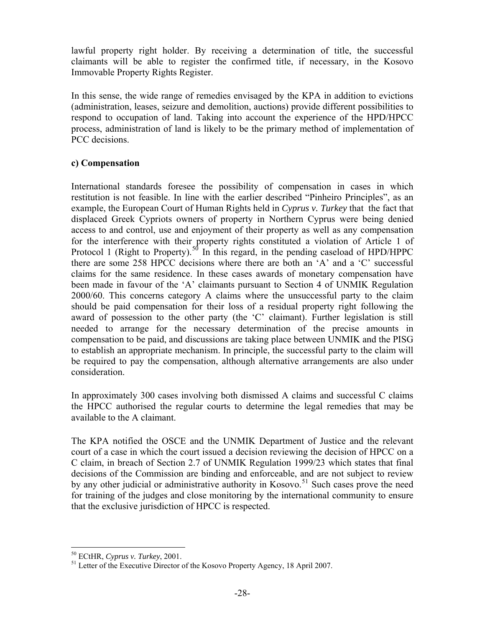<span id="page-27-0"></span>lawful property right holder. By receiving a determination of title, the successful claimants will be able to register the confirmed title, if necessary, in the Kosovo Immovable Property Rights Register.

In this sense, the wide range of remedies envisaged by the KPA in addition to evictions (administration, leases, seizure and demolition, auctions) provide different possibilities to respond to occupation of land. Taking into account the experience of the HPD/HPCC process, administration of land is likely to be the primary method of implementation of PCC decisions.

## **c) Compensation**

International standards foresee the possibility of compensation in cases in which restitution is not feasible. In line with the earlier described "Pinheiro Principles", as an example, the European Court of Human Rights held in *Cyprus v. Turkey* that the fact that displaced Greek Cypriots owners of property in Northern Cyprus were being denied access to and control, use and enjoyment of their property as well as any compensation for the interference with their property rights constituted a violation of Article 1 of Protocol 1 (Right to Property).<sup>[50](#page-27-1)</sup> In this regard, in the pending caseload of HPD/HPPC there are some 258 HPCC decisions where there are both an 'A' and a 'C' successful claims for the same residence. In these cases awards of monetary compensation have been made in favour of the 'A' claimants pursuant to Section 4 of UNMIK Regulation 2000/60. This concerns category A claims where the unsuccessful party to the claim should be paid compensation for their loss of a residual property right following the award of possession to the other party (the 'C' claimant). Further legislation is still needed to arrange for the necessary determination of the precise amounts in compensation to be paid, and discussions are taking place between UNMIK and the PISG to establish an appropriate mechanism. In principle, the successful party to the claim will be required to pay the compensation, although alternative arrangements are also under consideration.

In approximately 300 cases involving both dismissed A claims and successful C claims the HPCC authorised the regular courts to determine the legal remedies that may be available to the A claimant.

The KPA notified the OSCE and the UNMIK Department of Justice and the relevant court of a case in which the court issued a decision reviewing the decision of HPCC on a C claim, in breach of Section 2.7 of UNMIK Regulation 1999/23 which states that final decisions of the Commission are binding and enforceable, and are not subject to review by any other judicial or administrative authority in Kosovo.<sup>[51](#page-27-2)</sup> Such cases prove the need for training of the judges and close monitoring by the international community to ensure that the exclusive jurisdiction of HPCC is respected.

<span id="page-27-1"></span><sup>&</sup>lt;sup>50</sup> ECtHR, Cyprus v. Turkey, 2001.

<span id="page-27-2"></span><sup>&</sup>lt;sup>51</sup> Letter of the Executive Director of the Kosovo Property Agency, 18 April 2007.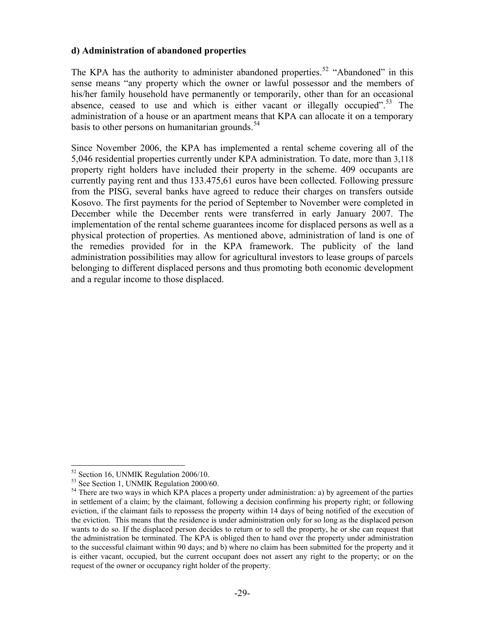#### <span id="page-28-0"></span>**d) Administration of abandoned properties**

The KPA has the authority to administer abandoned properties.<sup>[52](#page-28-1)</sup> "Abandoned" in this sense means "any property which the owner or lawful possessor and the members of his/her family household have permanently or temporarily, other than for an occasional absence, ceased to use and which is either vacant or illegally occupied".<sup>[53](#page-28-2)</sup> The administration of a house or an apartment means that KPA can allocate it on a temporary basis to other persons on humanitarian grounds. $54$ 

Since November 2006, the KPA has implemented a rental scheme covering all of the 5,046 residential properties currently under KPA administration. To date, more than 3,118 property right holders have included their property in the scheme. 409 occupants are currently paying rent and thus 133.475,61 euros have been collected. Following pressure from the PISG, several banks have agreed to reduce their charges on transfers outside Kosovo. The first payments for the period of September to November were completed in December while the December rents were transferred in early January 2007. The implementation of the rental scheme guarantees income for displaced persons as well as a physical protection of properties. As mentioned above, administration of land is one of the remedies provided for in the KPA framework. The publicity of the land administration possibilities may allow for agricultural investors to lease groups of parcels belonging to different displaced persons and thus promoting both economic development and a regular income to those displaced.

1

<sup>52</sup> Section 16, UNMIK Regulation 2006/10.

<span id="page-28-2"></span><span id="page-28-1"></span><sup>&</sup>lt;sup>53</sup> See Section 1, UNMIK Regulation 2000/60.

<span id="page-28-3"></span><sup>&</sup>lt;sup>54</sup> There are two ways in which KPA places a property under administration: a) by agreement of the parties in settlement of a claim; by the claimant, following a decision confirming his property right; or following eviction, if the claimant fails to repossess the property within 14 days of being notified of the execution of the eviction. This means that the residence is under administration only for so long as the displaced person wants to do so. If the displaced person decides to return or to sell the property, he or she can request that the administration be terminated. The KPA is obliged then to hand over the property under administration to the successful claimant within 90 days; and b) where no claim has been submitted for the property and it is either vacant, occupied, but the current occupant does not assert any right to the property; or on the request of the owner or occupancy right holder of the property.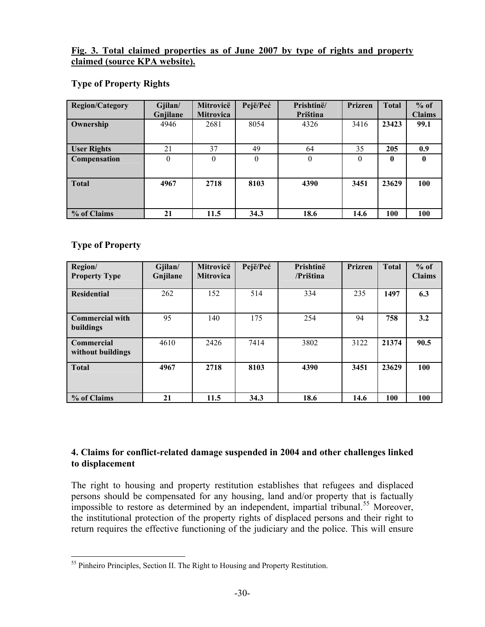#### <span id="page-29-0"></span>**Fig. 3. Total claimed properties as of June 2007 by type of rights and property claimed (source KPA website).**

## **Type of Property Rights**

| <b>Region/Category</b> | Gjilan/<br>Gnjilane | Mitrovicë<br><b>Mitrovica</b> | Pejë/Peć | Prishtinë/<br>Priština | <b>Prizren</b> | <b>Total</b> | $%$ of<br><b>Claims</b> |
|------------------------|---------------------|-------------------------------|----------|------------------------|----------------|--------------|-------------------------|
| Ownership              | 4946                | 2681                          | 8054     | 4326                   | 3416           | 23423        | 99.1                    |
| <b>User Rights</b>     | 21                  | 37                            | 49       | 64                     | 35             | 205          | 0.9                     |
| <b>Compensation</b>    | $\overline{0}$      | $\Omega$                      | $\theta$ | $\theta$               | $\theta$       | 0            | 0                       |
| <b>Total</b>           | 4967                | 2718                          | 8103     | 4390                   | 3451           | 23629        | 100                     |
| % of Claims            | 21                  | 11.5                          | 34.3     | 18.6                   | 14.6           | 100          | 100                     |

# **Type of Property**

| Region/<br><b>Property Type</b>        | Gjilan/<br>Gnjilane | Mitrovicë<br><b>Mitrovica</b> | Pejë/Peć | Prishtinë<br>/Priština | <b>Prizren</b> | <b>Total</b> | $%$ of<br><b>Claims</b> |
|----------------------------------------|---------------------|-------------------------------|----------|------------------------|----------------|--------------|-------------------------|
| <b>Residential</b>                     | 262                 | 152                           | 514      | 334                    | 235            | 1497         | 6.3                     |
| <b>Commercial with</b><br>buildings    | 95                  | 140                           | 175      | 254                    | 94             | 758          | 3.2                     |
| <b>Commercial</b><br>without buildings | 4610                | 2426                          | 7414     | 3802                   | 3122           | 21374        | 90.5                    |
| <b>Total</b>                           | 4967                | 2718                          | 8103     | 4390                   | 3451           | 23629        | 100                     |
| % of Claims                            | 21                  | 11.5                          | 34.3     | 18.6                   | 14.6           | 100          | 100                     |

# **4. Claims for conflict-related damage suspended in 2004 and other challenges linked to displacement**

The right to housing and property restitution establishes that refugees and displaced persons should be compensated for any housing, land and/or property that is factually impossible to restore as determined by an independent, impartial tribunal.<sup>[55](#page-29-1)</sup> Moreover, the institutional protection of the property rights of displaced persons and their right to return requires the effective functioning of the judiciary and the police. This will ensure

<span id="page-29-1"></span> $\overline{a}$ <sup>55</sup> Pinheiro Principles, Section II. The Right to Housing and Property Restitution.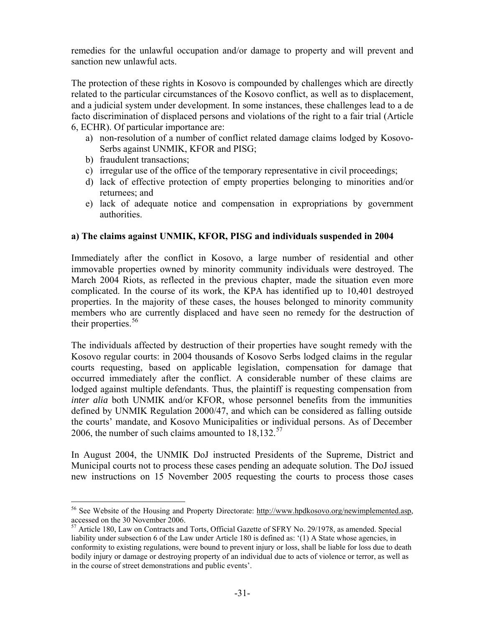<span id="page-30-0"></span>remedies for the unlawful occupation and/or damage to property and will prevent and sanction new unlawful acts.

The protection of these rights in Kosovo is compounded by challenges which are directly related to the particular circumstances of the Kosovo conflict, as well as to displacement, and a judicial system under development. In some instances, these challenges lead to a de facto discrimination of displaced persons and violations of the right to a fair trial (Article 6, ECHR). Of particular importance are:

- a) non-resolution of a number of conflict related damage claims lodged by Kosovo-Serbs against UNMIK, KFOR and PISG;
- b) fraudulent transactions;

 $\overline{a}$ 

- c) irregular use of the office of the temporary representative in civil proceedings;
- d) lack of effective protection of empty properties belonging to minorities and/or returnees; and
- e) lack of adequate notice and compensation in expropriations by government authorities.

### **a) The claims against UNMIK, KFOR, PISG and individuals suspended in 2004**

Immediately after the conflict in Kosovo, a large number of residential and other immovable properties owned by minority community individuals were destroyed. The March 2004 Riots, as reflected in the previous chapter, made the situation even more complicated. In the course of its work, the KPA has identified up to 10,401 destroyed properties. In the majority of these cases, the houses belonged to minority community members who are currently displaced and have seen no remedy for the destruction of their properties.<sup>[56](#page-30-1)</sup>

The individuals affected by destruction of their properties have sought remedy with the Kosovo regular courts: in 2004 thousands of Kosovo Serbs lodged claims in the regular courts requesting, based on applicable legislation, compensation for damage that occurred immediately after the conflict. A considerable number of these claims are lodged against multiple defendants. Thus, the plaintiff is requesting compensation from *inter alia* both UNMIK and/or KFOR, whose personnel benefits from the immunities defined by UNMIK Regulation 2000/47, and which can be considered as falling outside the courts' mandate, and Kosovo Municipalities or individual persons. As of December 2006, the number of such claims amounted to  $18,132$ .<sup>[57](#page-30-2)</sup>

In August 2004, the UNMIK DoJ instructed Presidents of the Supreme, District and Municipal courts not to process these cases pending an adequate solution. The DoJ issued new instructions on 15 November 2005 requesting the courts to process those cases

<span id="page-30-1"></span><sup>56</sup> See Website of the Housing and Property Directorate: <http://www.hpdkosovo.org/newimplemented.asp>, accessed on the 30 November 2006.

<span id="page-30-2"></span><sup>&</sup>lt;sup>57</sup> Article 180, Law on Contracts and Torts, Official Gazette of SFRY No. 29/1978, as amended. Special liability under subsection 6 of the Law under Article 180 is defined as: '(1) A State whose agencies, in conformity to existing regulations, were bound to prevent injury or loss, shall be liable for loss due to death bodily injury or damage or destroying property of an individual due to acts of violence or terror, as well as in the course of street demonstrations and public events'.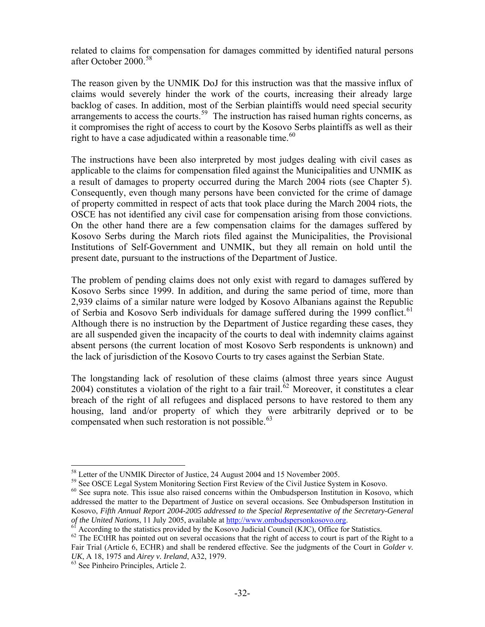related to claims for compensation for damages committed by identified natural persons after October 2000.[58](#page-31-0)

The reason given by the UNMIK DoJ for this instruction was that the massive influx of claims would severely hinder the work of the courts, increasing their already large backlog of cases. In addition, most of the Serbian plaintiffs would need special security arrangements to access the courts.<sup>[59](#page-31-1)</sup> The instruction has raised human rights concerns, as it compromises the right of access to court by the Kosovo Serbs plaintiffs as well as their right to have a case adjudicated within a reasonable time. $60$ 

The instructions have been also interpreted by most judges dealing with civil cases as applicable to the claims for compensation filed against the Municipalities and UNMIK as a result of damages to property occurred during the March 2004 riots (see Chapter 5). Consequently, even though many persons have been convicted for the crime of damage of property committed in respect of acts that took place during the March 2004 riots, the OSCE has not identified any civil case for compensation arising from those convictions. On the other hand there are a few compensation claims for the damages suffered by Kosovo Serbs during the March riots filed against the Municipalities, the Provisional Institutions of Self-Government and UNMIK, but they all remain on hold until the present date, pursuant to the instructions of the Department of Justice.

The problem of pending claims does not only exist with regard to damages suffered by Kosovo Serbs since 1999. In addition, and during the same period of time, more than 2,939 claims of a similar nature were lodged by Kosovo Albanians against the Republic of Serbia and Kosovo Serb individuals for damage suffered during the 1999 conflict.<sup>[61](#page-31-3)</sup> Although there is no instruction by the Department of Justice regarding these cases, they are all suspended given the incapacity of the courts to deal with indemnity claims against absent persons (the current location of most Kosovo Serb respondents is unknown) and the lack of jurisdiction of the Kosovo Courts to try cases against the Serbian State.

The longstanding lack of resolution of these claims (almost three years since August 2004) constitutes a violation of the right to a fair trail.<sup> $\delta$ 2</sup> Moreover, it constitutes a clear breach of the right of all refugees and displaced persons to have restored to them any housing, land and/or property of which they were arbitrarily deprived or to be compensated when such restoration is not possible. $^{63}$  $^{63}$  $^{63}$ 

 $\overline{a}$ 

<span id="page-31-0"></span><sup>&</sup>lt;sup>58</sup> Letter of the UNMIK Director of Justice, 24 August 2004 and 15 November 2005.<br><sup>59</sup> See OSCE Legal System Monitoring Section First Review of the Civil Justice System in Kosovo.

<span id="page-31-2"></span><span id="page-31-1"></span><sup>&</sup>lt;sup>60</sup> See supra note. This issue also raised concerns within the Ombudsperson Institution in Kosovo, which addressed the matter to the Department of Justice on several occasions. See Ombudsperson Institution in Kosovo, *Fifth Annual Report* 2004-2005 addressed to the Special Representative of the Secretary-General of the United Nations, 11 July 2005, available at http://www.ombudspersonkosovo.org.

<span id="page-31-3"></span><sup>&</sup>lt;sup>61</sup> According to the statistics provided by the Kosovo Judicial Council (KJC), Office for Statistics.

<span id="page-31-4"></span><sup>&</sup>lt;sup>62</sup> The ECtHR has pointed out on several occasions that the right of access to court is part of the Right to a Fair Trial (Article 6, ECHR) and shall be rendered effective. See the judgments of the Court in *Golder v. UK*, A 18, 1975 and *Airey v. Ireland*, A32, 1979.<br><sup>63</sup> See Pinheiro Principles, Article 2.

<span id="page-31-5"></span>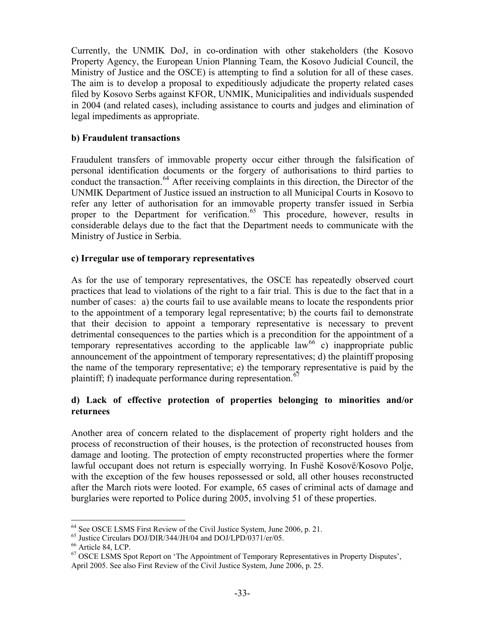<span id="page-32-0"></span>Currently, the UNMIK DoJ, in co-ordination with other stakeholders (the Kosovo Property Agency, the European Union Planning Team, the Kosovo Judicial Council, the Ministry of Justice and the OSCE) is attempting to find a solution for all of these cases. The aim is to develop a proposal to expeditiously adjudicate the property related cases filed by Kosovo Serbs against KFOR, UNMIK, Municipalities and individuals suspended in 2004 (and related cases), including assistance to courts and judges and elimination of legal impediments as appropriate.

### **b) Fraudulent transactions**

Fraudulent transfers of immovable property occur either through the falsification of personal identification documents or the forgery of authorisations to third parties to conduct the transaction.<sup>[64](#page-32-1)</sup> After receiving complaints in this direction, the Director of the UNMIK Department of Justice issued an instruction to all Municipal Courts in Kosovo to refer any letter of authorisation for an immovable property transfer issued in Serbia proper to the Department for verification.<sup>[65](#page-32-2)</sup> This procedure, however, results in considerable delays due to the fact that the Department needs to communicate with the Ministry of Justice in Serbia.

### **c) Irregular use of temporary representatives**

As for the use of temporary representatives, the OSCE has repeatedly observed court practices that lead to violations of the right to a fair trial. This is due to the fact that in a number of cases: a) the courts fail to use available means to locate the respondents prior to the appointment of a temporary legal representative; b) the courts fail to demonstrate that their decision to appoint a temporary representative is necessary to prevent detrimental consequences to the parties which is a precondition for the appointment of a temporary representatives according to the applicable law<sup>[66](#page-32-3)</sup> c) inappropriate public announcement of the appointment of temporary representatives; d) the plaintiff proposing the name of the temporary representative; e) the temporary representative is paid by the plaintiff; f) inadequate performance during representation.<sup>[67](#page-32-4)</sup>

### **d) Lack of effective protection of properties belonging to minorities and/or returnees**

Another area of concern related to the displacement of property right holders and the process of reconstruction of their houses, is the protection of reconstructed houses from damage and looting. The protection of empty reconstructed properties where the former lawful occupant does not return is especially worrying. In Fushë Kosovë/Kosovo Polje, with the exception of the few houses repossessed or sold, all other houses reconstructed after the March riots were looted. For example, 65 cases of criminal acts of damage and burglaries were reported to Police during 2005, involving 51 of these properties.

 $\overline{a}$ 

<span id="page-32-1"></span><sup>&</sup>lt;sup>64</sup> See OSCE LSMS First Review of the Civil Justice System, June 2006, p. 21.<br><sup>65</sup> Justice Circulars DOJ/DIR/344/JH/04 and DOJ/LPD/0371/er/05.<br><sup>66</sup> Article 84, LCP.

<span id="page-32-2"></span>

<span id="page-32-4"></span><span id="page-32-3"></span><sup>&</sup>lt;sup>67</sup> OSCE LSMS Spot Report on 'The Appointment of Temporary Representatives in Property Disputes', April 2005. See also First Review of the Civil Justice System, June 2006, p. 25.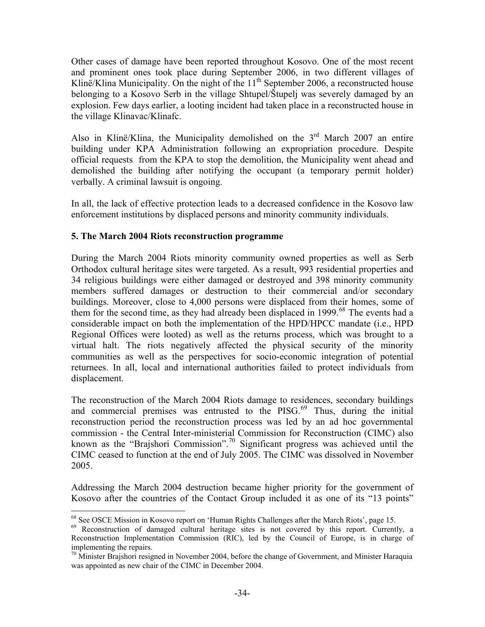<span id="page-33-0"></span>Other cases of damage have been reported throughout Kosovo. One of the most recent and prominent ones took place during September 2006, in two different villages of Klinë/Klina Municipality. On the night of the  $11<sup>th</sup>$  September 2006, a reconstructed house belonging to a Kosovo Serb in the village Shtupel/Štupelj was severely damaged by an explosion. Few days earlier, a looting incident had taken place in a reconstructed house in the village Klinavac/Klinafc.

Also in Klinë/Klina, the Municipality demolished on the  $3<sup>rd</sup>$  March 2007 an entire building under KPA Administration following an expropriation procedure. Despite official requests from the KPA to stop the demolition, the Municipality went ahead and demolished the building after notifying the occupant (a temporary permit holder) verbally. A criminal lawsuit is ongoing.

In all, the lack of effective protection leads to a decreased confidence in the Kosovo law enforcement institutions by displaced persons and minority community individuals.

## **5. The March 2004 Riots reconstruction programme**

During the March 2004 Riots minority community owned properties as well as Serb Orthodox cultural heritage sites were targeted. As a result, 993 residential properties and 34 religious buildings were either damaged or destroyed and 398 minority community members suffered damages or destruction to their commercial and/or secondary buildings. Moreover, close to 4,000 persons were displaced from their homes, some of them for the second time, as they had already been displaced in 1999.<sup>[68](#page-33-1)</sup> The events had a considerable impact on both the implementation of the HPD/HPCC mandate (i.e., HPD Regional Offices were looted) as well as the returns process, which was brought to a virtual halt. The riots negatively affected the physical security of the minority communities as well as the perspectives for socio-economic integration of potential returnees. In all, local and international authorities failed to protect individuals from displacement.

The reconstruction of the March 2004 Riots damage to residences, secondary buildings and commercial premises was entrusted to the PISG. $^{69}$  $^{69}$  $^{69}$  Thus, during the initial reconstruction period the reconstruction process was led by an ad hoc governmental commission - the Central Inter-ministerial Commission for Reconstruction (CIMC) also known as the "Brajshori Commission".<sup>[70](#page-33-3)</sup> Significant progress was achieved until the CIMC ceased to function at the end of July 2005. The CIMC was dissolved in November 2005.

Addressing the March 2004 destruction became higher priority for the government of Kosovo after the countries of the Contact Group included it as one of its "13 points"

 $\overline{a}$ <sup>68</sup> See OSCE Mission in Kosovo report on 'Human Rights Challenges after the March Riots', page 15.

<span id="page-33-2"></span><span id="page-33-1"></span><sup>&</sup>lt;sup>69</sup> Reconstruction of damaged cultural heritage sites is not covered by this report. Currently, a Reconstruction Implementation Commission (RIC), led by the Council of Europe, is in charge of implementing the repairs.

<span id="page-33-3"></span> $70$  Minister Brajshori resigned in November 2004, before the change of Government, and Minister Haraquia was appointed as new chair of the CIMC in December 2004.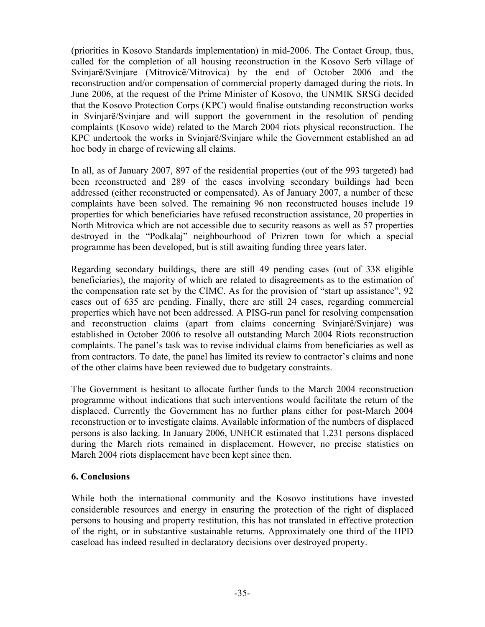<span id="page-34-0"></span>(priorities in Kosovo Standards implementation) in mid-2006. The Contact Group, thus, called for the completion of all housing reconstruction in the Kosovo Serb village of Svinjarë/Svinjare (Mitrovicë/Mitrovica) by the end of October 2006 and the reconstruction and/or compensation of commercial property damaged during the riots. In June 2006, at the request of the Prime Minister of Kosovo, the UNMIK SRSG decided that the Kosovo Protection Corps (KPC) would finalise outstanding reconstruction works in Svinjarë/Svinjare and will support the government in the resolution of pending complaints (Kosovo wide) related to the March 2004 riots physical reconstruction. The KPC undertook the works in Svinjarë/Svinjare while the Government established an ad hoc body in charge of reviewing all claims.

In all, as of January 2007, 897 of the residential properties (out of the 993 targeted) had been reconstructed and 289 of the cases involving secondary buildings had been addressed (either reconstructed or compensated). As of January 2007, a number of these complaints have been solved. The remaining 96 non reconstructed houses include 19 properties for which beneficiaries have refused reconstruction assistance, 20 properties in North Mitrovica which are not accessible due to security reasons as well as 57 properties destroyed in the "Podkalaj" neighbourhood of Prizren town for which a special programme has been developed, but is still awaiting funding three years later.

Regarding secondary buildings, there are still 49 pending cases (out of 338 eligible beneficiaries), the majority of which are related to disagreements as to the estimation of the compensation rate set by the CIMC. As for the provision of "start up assistance", 92 cases out of 635 are pending. Finally, there are still 24 cases, regarding commercial properties which have not been addressed. A PISG-run panel for resolving compensation and reconstruction claims (apart from claims concerning Svinjarë/Svinjare) was established in October 2006 to resolve all outstanding March 2004 Riots reconstruction complaints. The panel's task was to revise individual claims from beneficiaries as well as from contractors. To date, the panel has limited its review to contractor's claims and none of the other claims have been reviewed due to budgetary constraints.

The Government is hesitant to allocate further funds to the March 2004 reconstruction programme without indications that such interventions would facilitate the return of the displaced. Currently the Government has no further plans either for post-March 2004 reconstruction or to investigate claims. Available information of the numbers of displaced persons is also lacking. In January 2006, UNHCR estimated that 1,231 persons displaced during the March riots remained in displacement. However, no precise statistics on March 2004 riots displacement have been kept since then.

#### **6. Conclusions**

While both the international community and the Kosovo institutions have invested considerable resources and energy in ensuring the protection of the right of displaced persons to housing and property restitution, this has not translated in effective protection of the right, or in substantive sustainable returns. Approximately one third of the HPD caseload has indeed resulted in declaratory decisions over destroyed property.